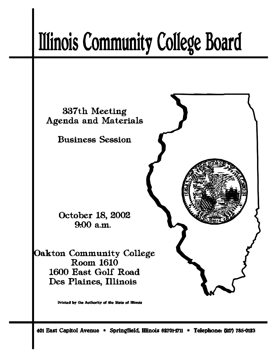# **Illinois Community College Board**



Printed by the Authority of the State of Illinois

401 East Capitol Avenue \* Springfield, Illinois 62701-1711 \* Telephone: (217) 785-0123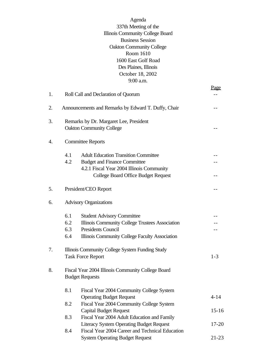| Agenda                                  |
|-----------------------------------------|
| 337th Meeting of the                    |
| <b>Illinois Community College Board</b> |
| <b>Business Session</b>                 |
| <b>Oakton Community College</b>         |
| Room 1610                               |
| 1600 East Golf Road                     |
| Des Plaines, Illinois                   |
| October 18, 2002                        |
| 9:00 a.m.                               |

|    |     |                                                     | <u>Page</u> |
|----|-----|-----------------------------------------------------|-------------|
| 1. |     | Roll Call and Declaration of Quorum                 |             |
| 2. |     | Announcements and Remarks by Edward T. Duffy, Chair |             |
| 3. |     | Remarks by Dr. Margaret Lee, President              |             |
|    |     | <b>Oakton Community College</b>                     |             |
| 4. |     | <b>Committee Reports</b>                            |             |
|    | 4.1 | <b>Adult Education Transition Committee</b>         |             |
|    | 4.2 | <b>Budget and Finance Committee</b>                 |             |
|    |     | 4.2.1 Fiscal Year 2004 Illinois Community           |             |
|    |     | <b>College Board Office Budget Request</b>          |             |
| 5. |     | President/CEO Report                                |             |
| 6. |     | <b>Advisory Organizations</b>                       |             |
|    | 6.1 | <b>Student Advisory Committee</b>                   |             |
|    | 6.2 | Illinois Community College Trustees Association     |             |
|    | 6.3 | <b>Presidents Council</b>                           |             |
|    | 6.4 | Illinois Community College Faculty Association      |             |
| 7. |     | Illinois Community College System Funding Study     |             |
|    |     | <b>Task Force Report</b>                            | $1 - 3$     |
| 8. |     | Fiscal Year 2004 Illinois Community College Board   |             |
|    |     | <b>Budget Requests</b>                              |             |
|    | 8.1 | Fiscal Year 2004 Community College System           |             |
|    |     | <b>Operating Budget Request</b>                     | $4 - 14$    |
|    | 8.2 | Fiscal Year 2004 Community College System           |             |
|    |     | <b>Capital Budget Request</b>                       | $15-16$     |
|    | 8.3 | Fiscal Year 2004 Adult Education and Family         |             |
|    |     | <b>Literacy System Operating Budget Request</b>     | $17 - 20$   |
|    | 8.4 | Fiscal Year 2004 Career and Technical Education     |             |
|    |     | <b>System Operating Budget Request</b>              | $21-23$     |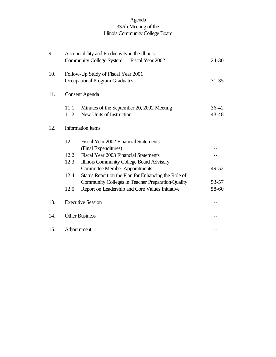# Agenda 337th Meeting of the Illinois Community College Board

| 9.  |              | Accountability and Productivity in the Illinois<br>Community College System — Fiscal Year 2002             | $24 - 30$          |
|-----|--------------|------------------------------------------------------------------------------------------------------------|--------------------|
| 10. |              | Follow-Up Study of Fiscal Year 2001<br><b>Occupational Program Graduates</b>                               | $31 - 35$          |
| 11. |              | <b>Consent Agenda</b>                                                                                      |                    |
|     | 11.1<br>11.2 | Minutes of the September 20, 2002 Meeting<br>New Units of Instruction                                      | $36 - 42$<br>43-48 |
| 12. |              | <b>Information Items</b>                                                                                   |                    |
|     | 12.1         | Fiscal Year 2002 Financial Statements                                                                      |                    |
|     | 12.2<br>12.3 | (Final Expenditures)<br>Fiscal Year 2003 Financial Statements<br>Illinois Community College Board Advisory |                    |
|     |              | <b>Committee Member Appointments</b>                                                                       | 49-52              |
|     | 12.4         | Status Report on the Plan for Enhancing the Role of<br>Community Colleges in Teacher Preparation/Quality   | 53-57              |
|     | 12.5         | Report on Leadership and Core Values Initiative                                                            | 58-60              |
| 13. |              | <b>Executive Session</b>                                                                                   |                    |
| 14. |              | <b>Other Business</b>                                                                                      |                    |
| 15. | Adjournment  |                                                                                                            |                    |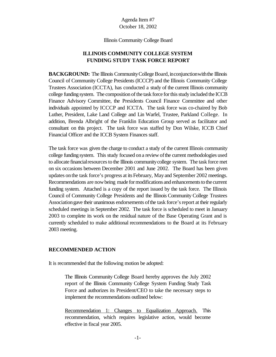Illinois Community College Board

# **ILLINOIS COMMUNITY COLLEGE SYSTEM FUNDING STUDY TASK FORCE REPORT**

**BACKGROUND:** The Illinois Community College Board, inconjunction with the Illinois Council of Community College Presidents (ICCCP) and the Illinois Community College Trustees Association (ICCTA), has conducted a study of the current Illinois community college funding system. The composition of the task force for this study included the ICCB Finance Advisory Committee, the Presidents Council Finance Committee and other individuals appointed by ICCCP and ICCTA. The task force was co-chaired by Bob Luther, President, Lake Land College and Lin Warfel, Trustee, Parkland College. In addition, Brenda Albright of the Franklin Education Group served as facilitator and consultant on this project. The task force was staffed by Don Wilske, ICCB Chief Financial Officer and the ICCB System Finances staff.

The task force was given the charge to conduct a study of the current Illinois community college funding system. This study focused on a review of the current methodologies used to allocate financialresourcesto the Illinois communitycollege system. The task force met on six occasions between December 2001 and June 2002. The Board has been given updates onthe task force's progress at its February, Mayand September 2002 meetings. Recommendations are nowbeing made for modifications and enhancements to the current funding system. Attached is a copy of the report issued by the task force. The Illinois Council of Community College Presidents and the Illinois Community College Trustees Association gave their unanimous endorsements of the task force's report at their regularly scheduled meetings in September 2002. The task force is scheduled to meet in January 2003 to complete its work on the residual nature of the Base Operating Grant and is currently scheduled to make additional recommendations to the Board at its February 2003 meeting.

## **RECOMMENDED ACTION**

It is recommended that the following motion be adopted:

The Illinois Community College Board hereby approves the July 2002 report of the Illinois Community College System Funding Study Task Force and authorizes its President/CEO to take the necessary steps to implement the recommendations outlined below:

Recommendation 1: Changes to Equalization Approach. This recommendation, which requires legislative action, would become effective in fiscal year 2005.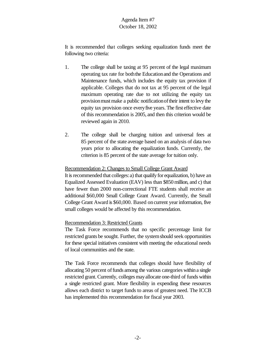It is recommended that colleges seeking equalization funds meet the following two criteria:

- 1. The college shall be taxing at 95 percent of the legal maximum operating tax rate for boththe Educationand the Operations and Maintenance funds, which includes the equity tax provision if applicable. Colleges that do not tax at 95 percent of the legal maximum operating rate due to not utilizing the equity tax provision must make a public notification of their intent to levy the equity tax provision once everyfive years. The first effective date of this recommendation is 2005, and then this criterion would be reviewed again in 2010.
- 2. The college shall be charging tuition and universal fees at 85 percent of the state average based on an analysis of data two years prior to allocating the equalization funds. Currently, the criterion is 85 percent of the state average for tuition only.

## Recommendation 2: Changes to Small College Grant Award

It is recommended that colleges: a) that qualify for equalization, b) have an Equalized Assessed Evaluation (EAV) less than \$850 million, and c) that have fewer than 2000 non-correctional FTE students shall receive an additional \$60,000 Small College Grant Award. Currently, the Small College Grant Award is \$60,000. Based on current year information, five small colleges would be affected by this recommendation.

## Recommendation 3: Restricted Grants

The Task Force recommends that no specific percentage limit for restricted grants be sought. Further, the systemshould seek opportunities for these special initiatives consistent with meeting the educational needs of local communities and the state.

The Task Force recommends that colleges should have flexibility of allocating 50 percent of funds among the various categories within a single restricted grant. Currently, colleges may allocate one-third of funds within a single restricted grant. More flexibility in expending these resources allows each district to target funds to areas of greatest need. The ICCB has implemented this recommendation for fiscal year 2003.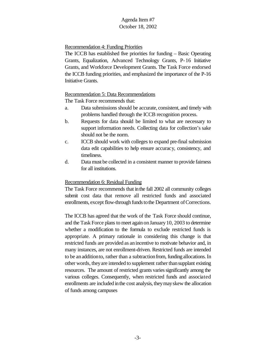## Recommendation 4: Funding Priorities

The ICCB has established five priorities for funding – Basic Operating Grants, Equalization, Advanced Technology Grants, P-16 Initiative Grants, and Workforce Development Grants. The Task Force endorsed the ICCB funding priorities, and emphasized the importance of the P-16 Initiative Grants.

### Recommendation 5: Data Recommendations

The Task Force recommends that:

- a. Data submissions should be accurate, consistent, and timely with problems handled through the ICCB recognition process.
- b. Requests for data should be limited to what are necessary to support information needs. Collecting data for collection's sake should not be the norm.
- c. ICCB should work with colleges to expand pre-final submission data edit capabilities to help ensure accuracy, consistency, and timeliness.
- d. Data must be collected in a consistent manner to provide fairness for all institutions.

## Recommendation 6: Residual Funding

The Task Force recommends that inthe fall 2002 all community colleges submit cost data that remove all restricted funds and associated enrollments, except flow-through funds to the Department of Corrections.

The ICCB has agreed that the work of the Task Force should continue, and the Task Force plans to meet again onJanuary10, 2003 to determine whether a modification to the formula to exclude restricted funds is appropriate. A primary rationale in considering this change is that restricted funds are provided as anincentive to motivate behavior and, in many instances, are not enrollment-driven. Restricted funds are intended to be anadditionto, rather than a subtractionfrom, funding allocations.In other words, they are intended to supplement rather than supplant existing resources. The amount of restricted grants varies significantly among the various colleges. Consequently, when restricted funds and associated enrollments are included inthe cost analysis, theymayskew the allocation of funds among campuses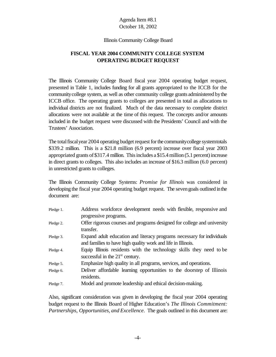#### Illinois Community College Board

# **FISCAL YEAR 2004 COMMUNITY COLLEGE SYSTEM OPERATING BUDGET REQUEST**

The Illinois Community College Board fiscal year 2004 operating budget request, presented in Table 1, includes funding for all grants appropriated to the ICCB for the communitycollege system, as well as other community college grants administered bythe ICCB office. The operating grants to colleges are presented in total as allocations to individual districts are not finalized. Much of the data necessary to complete district allocations were not available at the time of this request. The concepts and/or amounts included in the budget request were discussed with the Presidents' Council and with the Trustees' Association.

The total fiscal year 2004 operating budget request for the community college systemtotals \$339.2 million. This is a \$21.8 million (6.9 percent) increase over fiscal year 2003 appropriated grants of\$317.4 million. This includes a \$15.4 million (5.1 percent) increase in direct grants to colleges. This also includes an increase of \$16.3 million (6.0 percent) in unrestricted grants to colleges.

The Illinois Community College Systems: *Promise for Illinois* was considered in developing the fiscal year 2004 operating budget request. The sevengoals outlined inthe document are:

| Pledge 1. | Address workforce development needs with flexible, responsive and       |
|-----------|-------------------------------------------------------------------------|
|           | progressive programs.                                                   |
| Pledge 2. | Offer rigorous courses and programs designed for college and university |
|           | transfer.                                                               |
| Pledge 3. | Expand adult education and literacy programs necessary for individuals  |
|           | and families to have high quality work and life in Illinois.            |
| Pledge 4. | Equip Illinois residents with the technology skills they need to be     |
|           | successful in the $21st$ century.                                       |
| Pledge 5. | Emphasize high quality in all programs, services, and operations.       |
| Pledge 6. | Deliver affordable learning opportunities to the doorstep of Illinois   |
|           | residents.                                                              |
| Pledge 7. | Model and promote leadership and ethical decision-making.               |

Also, significant consideration was given in developing the fiscal year 2004 operating budget request to the Illinois Board of Higher Education's *The Illinois Commitment: Partnerships, Opportunities, and Excellence*. The goals outlined in this document are: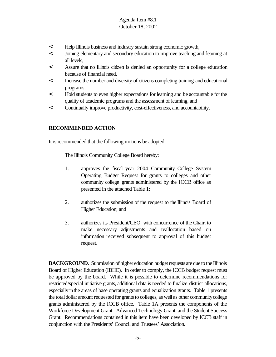- < Help Illinois business and industry sustain strong economic growth,
- < Joining elementary and secondary education to improve teaching and learning at all levels,
- < Assure that no Illinois citizen is denied an opportunity for a college education because of financial need,
- < Increase the number and diversity of citizens completing training and educational programs,
- < Hold students to even higher expectations for learning and be accountable forthe quality of academic programs and the assessment of learning, and
- < Continually improve productivity, cost-effectiveness, and accountability.

### **RECOMMENDED ACTION**

It is recommended that the following motions be adopted:

The Illinois Community College Board hereby:

- 1. approves the fiscal year 2004 Community College System Operating Budget Request for grants to colleges and other community college grants administered by the ICCB office as presented in the attached Table 1;
- 2. authorizes the submission of the request to the Illinois Board of Higher Education; and
- 3. authorizes its President/CEO, with concurrence of the Chair, to make necessary adjustments and reallocation based on information received subsequent to approval of this budget request.

**BACKGROUND.** Submission of higher education budget requests are due to the Illinois Board of Higher Education (IBHE). In order to comply, the ICCB budget request must be approved by the board. While it is possible to determine recommendations for restricted/special initiative grants, additional data is needed to finalize district allocations, especially inthe areas of base operating grants and equalization grants. Table 1 presents the total dollar amount requested for grants to colleges, as well as other community college grants administered by the ICCB office. Table 1A presents the components of the Workforce Development Grant, Advanced Technology Grant, and the Student Success Grant. Recommendations contained in this item have been developed by ICCB staff in conjunction with the Presidents' Council and Trustees' Association.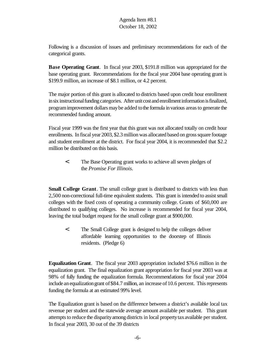Following is a discussion of issues and preliminary recommendations for each of the categorical grants.

**Base Operating Grant**. In fiscal year 2003, \$191.8 million was appropriated for the base operating grant. Recommendations for the fiscal year 2004 base operating grant is \$199.9 million, an increase of \$8.1 million, or 4.2 percent.

The major portion of this grant is allocated to districts based upon credit hour enrollment in six instructional funding categories. After unit cost and enrollment information is finalized, programimprovement dollars maybe added tothe formula invarious areasto generate the recommended funding amount.

Fiscal year 1999 was the first year that this grant was not allocated totally on credit hour enrollments. In fiscal year 2003, \$2.3 million was allocated based on gross square footage and student enrollment at the district. For fiscal year 2004, it is recommended that \$2.2 million be distributed on this basis.

< The Base Operating grant works to achieve all seven pledges of the *Promise For Illinois*.

**Small College Grant**. The small college grant is distributed to districts with less than 2,500 non-correctional full-time equivalent students. This grant is intended to assist small colleges with the fixed costs of operating a community college. Grants of \$60,000 are distributed to qualifying colleges. No increase is recommended for fiscal year 2004, leaving the total budget request for the small college grant at \$900,000.

< The Small College grant is designed to help the colleges deliver affordable learning opportunities to the doorstep of Illinois residents. (Pledge 6)

**Equalization Grant**. The fiscal year 2003 appropriation included \$76.6 million in the equalization grant. The final equalization grant appropriation for fiscal year 2003 was at 98% of fully funding the equalization formula. Recommendations for fiscal year 2004 include an equalization grant of \$84.7 million, an increase of 10.6 percent. This represents funding the formula at an estimated 99% level.

The Equalization grant is based on the difference between a district's available local tax revenue per student and the statewide average amount available per student. This grant attempts to reduce the disparity among districts in local property tax available per student. In fiscal year 2003, 30 out of the 39 districts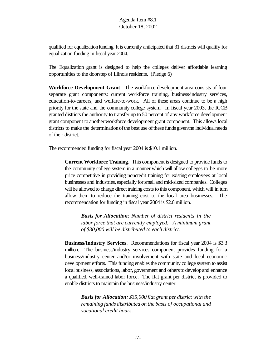qualified for equalization funding. It is currently anticipated that 31 districts will qualify for equalization funding in fiscal year 2004.

The Equalization grant is designed to help the colleges deliver affordable learning opportunities to the doorstep of Illinois residents. (Pledge 6)

**Workforce Development Grant**. The workforce development area consists of four separate grant components: current workforce training, business/industry services, education-to-careers, and welfare-to-work. All of these areas continue to be a high priority for the state and the community college system. In fiscal year 2003, the ICCB granted districts the authority to transfer up to 50 percent of any workforce development grant component to another workforce development grant component. This allows local districts to make the determination of the best use of these funds given the individual needs of their district.

The recommended funding for fiscal year 2004 is \$10.1 million.

**Current Workforce Training**. This component is designed to provide funds to the community college system in a manner which will allow colleges to be more price competitive in providing noncredit training for existing employees at local businesses and industries, especially forsmall and mid-sized companies. Colleges will be allowed to charge direct training costs to this component, which will in turn allow them to reduce the training cost to the local area businesses. The recommendation for funding in fiscal year 2004 is \$2.6 million.

*Basis for Allocation: Number of district residents in the labor force that are currently employed. A minimum grant of \$30,000 will be distributed to each district.*

**Business/Industry Services**. Recommendations for fiscal year 2004 is \$3.3 million. The business/industry services component provides funding for a business/industry center and/or involvement with state and local economic development efforts. This funding enables the community college system to assist local business, associations, labor, government and others to develop and enhance a qualified, well-trained labor force. The flat grant per district is provided to enable districts to maintain the business/industry center.

*Basis for Allocation: \$35,000 flat grant per district with the remaining funds distributed on the basis of occupational and vocational credit hours*.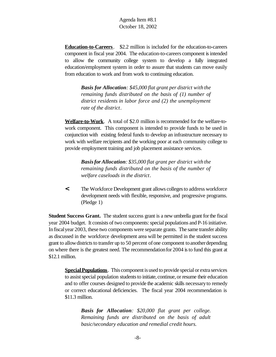**Education-to-Careers**. \$2.2 million is included for the education-to-careers component in fiscal year 2004. The education-to-careers component isintended to allow the community college system to develop a fully integrated education/employment system in order to assure that students can move easily from education to work and from work to continuing education.

> *Basis for Allocation: \$45,000 flat grant per district with the remaining funds distributed on the basis of (1) number of district residents in labor force and (2) the unemployment rate of the district*.

**Welfare-to-Work**. A total of \$2.0 million is recommended for the welfare-towork component. This component is intended to provide funds to be used in conjunction with existing federal funds to develop an infrastructure necessary to work with welfare recipients and the working poor at each community college to provide employment training and job placement assistance services.

*Basisfor Allocation: \$35,000 flat grant per district with the remaining funds distributed on the basis of the number of welfare caseloads in the district*.

**<** The Workforce Development grant allows collegesto address workforce development needs with flexible, responsive, and progressive programs. (Pledge 1)

**Student Success Grant.** The student success grant is a new umbrella grant for the fiscal year 2004 budget. It consists of two components: special populations and P-16 initiative. Infiscalyear 2003, these two components were separate grants. The same transfer ability as discussed in the workforce development area will be permitted in the student success grant to allow districts to transfer up to 50 percent of one component to another depending on where there is the greatest need. The recommendationfor 2004 isto fund this grant at \$12.1 million.

**SpecialPopulations**. This component is used to provide special or extra services to assist special population students to initiate, continue, or resume their education and to offer courses designed to provide the academic skills necessaryto remedy or correct educational deficiencies. The fiscal year 2004 recommendation is \$11.3 million.

> *Basis for Allocation: \$20,000 flat grant per college. Remaining funds are distributed on the basis of adult basic/secondary education and remedial credit hours.*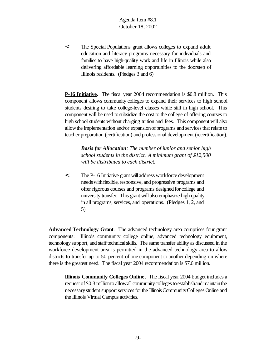< The Special Populations grant allows colleges to expand adult education and literacy programs necessary for individuals and families to have high-quality work and life in Illinois while also delivering affordable learning opportunities to the doorstep of Illinois residents. (Pledges 3 and 6)

**P-16 Initiative.** The fiscal year 2004 recommendation is \$0.8 million. This component allows community colleges to expand their services to high school students desiring to take college-level classes while still in high school. This component will be used to subsidize the cost to the college of offering courses to high school students without charging tuition and fees. This component will also allow the implementation and/or expansion of programs and services that relate to teacher preparation (certification) and professional development (recertification).

*Basis for Allocation: The number of junior and senior high school students in the district. A minimum grant of \$12,500 will be distributed to each district.*

< The P-16 Initiative grant will address workforce development needs with flexible, responsive, and progressive programs and offer rigorous courses and programs designed for college and university transfer. This grant will also emphasize high quality in all programs, services, and operations. (Pledges 1, 2, and 5)

**Advanced Technology Grant**. The advanced technology area comprises four grant components: Illinois community college online, advanced technology equipment, technology support, and staff technical skills. The same transfer ability as discussed in the workforce development area is permitted in the advanced technology area to allow districts to transfer up to 50 percent of one component to another depending on where there is the greatest need. The fiscal year 2004 recommendation is \$7.6 million.

**Illinois Community Colleges Online** . The fiscal year 2004 budget includes a request of \$0.3 million to allow all community colleges to establish and maintain the necessary student support services for the Illinois Community Colleges Online and the Illinois Virtual Campus activities.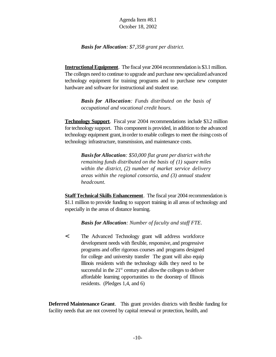*Basis for Allocation: \$7,358 grant per district.*

**InstructionalEquipment**. The fiscal year 2004 recommendation is \$3.1 million. The colleges need to continue to upgrade and purchase new specialized advanced technology equipment for training programs and to purchase new computer hardware and software for instructional and student use.

*Basis for Allocation: Funds distributed on the basis of occupational and vocational credit hours.*

**Technology Support**. Fiscal year 2004 recommendations include \$3.2 million for technology support. This component is provided, in addition to the advanced technology equipment grant, inorder to enable colleges to meet the rising costs of technology infrastructure, transmission, and maintenance costs.

*Basisfor Allocation: \$50,000 flat grant per district with the remaining funds distributed on the basis of (1) square miles within the district, (2) number of market service delivery areas within the regional consortia, and (3) annual student headcount.*

**Staff Technical Skills Enhancement**. The fiscal year 2004 recommendation is \$1.1 million to provide funding to support training in all areas of technology and especially in the areas of distance learning.

*Basis for Allocation: Number of faculty and staff FTE*.

< The Advanced Technology grant will address workforce development needs with flexible, responsive, and progressive programs and offer rigorous courses and programs designed for college and university transfer The grant will also equip Illinois residents with the technology skills they need to be successful in the  $21<sup>st</sup>$  century and allow the colleges to deliver affordable learning opportunities to the doorstep of Illinois residents. (Pledges 1,4, and 6)

**Deferred Maintenance Grant**. This grant provides districts with flexible funding for facility needs that are not covered by capital renewal or protection, health, and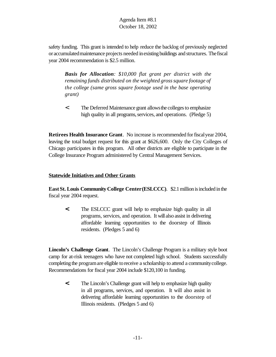safety funding. This grant is intended to help reduce the backlog of previously neglected or accumulatedmaintenance projects needed inexisting buildings and structures. The fiscal year 2004 recommendation is \$2.5 million.

*Basis for Allocation: \$10,000 flat grant per district with the remaining funds distributed on the weighted grosssquare footage of the college (same gross square footage used in the base operating grant)*

< The Deferred Maintenance grant allowsthe collegesto emphasize high quality in all programs, services, and operations. (Pledge 5)

**Retirees Health Insurance Grant**. No increase is recommended for fiscal year 2004, leaving the total budget request for this grant at \$626,600. Only the City Colleges of Chicago participates in this program. All other districts are eligible to participate in the College Insurance Program administered by Central Management Services.

## **Statewide Initiatives and Other Grants**

**EastSt. Louis Community College Center(ESLCCC)**. \$2.1 million is included in the fiscal year 2004 request.

**<** The ESLCCC grant will help to emphasize high quality in all programs, services, and operation. It will also assist in delivering affordable learning opportunities to the doorstep of Illinois residents.(Pledges 5 and 6)

**Lincoln's Challenge Grant**. The Lincoln's Challenge Program is a military style boot camp for at-risk teenagers who have not completed high school. Students successfully completing the programare eligible toreceive a scholarship to attend a communitycollege. Recommendations for fiscal year 2004 include \$120,100 in funding.

**<** The Lincoln's Challenge grant will help to emphasize high quality in all programs, services, and operation. It will also assist in delivering affordable learning opportunities to the doorstep of Illinois residents. (Pledges 5 and 6)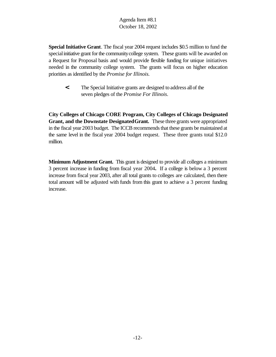**Special Initiative Grant**. The fiscal year 2004 request includes \$0.5 million to fund the special initiative grant for the community college system. These grants will be awarded on a Request for Proposal basis and would provide flexible funding for unique initiatives needed in the community college system. The grants will focus on higher education priorities as identified by the *Promise for Illinois.*

**<** The Special Initiative grants are designed to address allof the seven pledges of the *Promise For Illinois*.

**City Colleges of Chicago CORE Program, City Colleges of Chicago Designated Grant, and the Downstate DesignatedGrant.** These three grants were appropriated in the fiscal year 2003 budget. The ICCB recommends that these grants be maintained at the same level in the fiscal year 2004 budget request. These three grants total \$12.0 million.

**Minimum Adjustment Grant.** This grant is designed to provide all colleges a minimum 3 percent increase in funding from fiscal year 2004**.** If a college is below a 3 percent increase from fiscal year 2003, after all total grants to colleges are calculated, then there total amount will be adjusted with funds from this grant to achieve a 3 percent funding increase.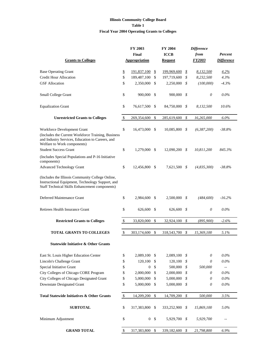#### **Illinois Community College Board Table 1 Fiscal Year 2004 Operating Grants to Colleges**

|                                                                                                                                                        |              | FY 2003        |              | <b>FY 2004</b>  |                   | <b>Difference</b> |                          |
|--------------------------------------------------------------------------------------------------------------------------------------------------------|--------------|----------------|--------------|-----------------|-------------------|-------------------|--------------------------|
|                                                                                                                                                        |              | Final          |              | <b>ICCB</b>     |                   | from              | <b>Percent</b>           |
| <b>Grants to Colleges</b>                                                                                                                              |              | Appropriation  |              | <b>Request</b>  |                   | <b>FY2003</b>     | <b>Difference</b>        |
|                                                                                                                                                        |              |                |              |                 |                   |                   |                          |
| <b>Base Operating Grant</b>                                                                                                                            | \$           | 191,837,100    | \$           | 199,969,600     | \$                | 8,132,500         | 4.2%                     |
| <b>Credit Hour Allocation</b>                                                                                                                          | \$           | 189,487,100    | \$           | 197,719,600     | \$                | 8,232,500         | 4.3%                     |
| <b>GSF</b> Allocation                                                                                                                                  | \$           | 2,350,000      | \$           | 2,250,000       | S                 | (100,000)         | $-4.3%$                  |
| Small College Grant                                                                                                                                    | \$           | 900,000        | \$           | 900,000         | - \$              | 0                 | $0.0\%$                  |
| <b>Equalization Grant</b>                                                                                                                              | \$           | 76,617,500     | -S           | 84,750,000      | \$                | 8,132,500         | 10.6%                    |
| <b>Unrestricted Grants to Colleges</b>                                                                                                                 | \$           | 269,354,600    | \$           | 285,619,600     | \$                | 16,265,000        | $6.0\%$                  |
| Workforce Development Grant                                                                                                                            | \$           | 16,473,000     | \$           | 10,085,800      | \$                | (6,387,200)       | $-38.8%$                 |
| (Includes the Current Workforce Training, Business<br>and Industry Services, Education to Careers, and<br>Welfare to Work components)                  |              |                |              |                 |                   |                   |                          |
| <b>Student Success Grant</b>                                                                                                                           | \$           | 1,279,000 \$   |              | $12,090,200$ \$ |                   | 10,811,200        | 845.3%                   |
| (Includes Special Populations and P-16 Initiative<br>components)                                                                                       |              |                |              |                 |                   |                   |                          |
| <b>Advanced Technology Grant</b>                                                                                                                       | \$           | 12,456,800 \$  |              | 7,621,500 \$    |                   | (4,835,300)       | $-38.8%$                 |
| (Includes the Illinois Community College Online,<br>Instructional Equipment, Technology Support, and<br>Staff Technical Skills Enhancement components) |              |                |              |                 |                   |                   |                          |
| Deferred Maintenance Grant                                                                                                                             | \$           | 2,984,600      | \$           | 2,500,000       | \$                | (484, 600)        | $-16.2%$                 |
| Retirees Health Insurance Grant                                                                                                                        | \$           | 626,600 \$     |              | 626,600 \$      |                   | 0                 | $0.0\%$                  |
| <b>Restricted Grants to Colleges</b>                                                                                                                   | $\mathbb{S}$ | 33,820,000     | $\mathbb{S}$ | 32,924,100      | $\mathcal{S}_{0}$ | (895,900)         | $-2.6%$                  |
| <b>TOTAL GRANTS TO COLLEGES</b>                                                                                                                        | \$           | 303,174,600    | \$           | 318,543,700     | \$                | 15,369,100        | 5.1%                     |
| <b>Statewide Initiative &amp; Other Grants</b>                                                                                                         |              |                |              |                 |                   |                   |                          |
| East St. Louis Higher Education Center                                                                                                                 | \$           | 2,089,100      | \$           | 2,089,100       | \$                | 0                 | $0.0\%$                  |
| Lincoln's Challenge Grant                                                                                                                              | \$           | 120,100        | \$           | 120,100         | \$                | 0                 | $0.0\%$                  |
| Special Initiative Grant                                                                                                                               | \$           | $\mathbf{0}$   | \$           | 500,000         | \$                | 500,000           | $\overline{\phantom{a}}$ |
| City Colleges of Chicago CORE Program                                                                                                                  | \$           | 2,000,000      | \$           | 2,000,000       | \$                | 0                 | $0.0\%$                  |
| City Colleges of Chicago Designated Grant                                                                                                              | \$           | 5,000,000      | \$           | 5,000,000       | \$                | 0                 | $0.0\%$                  |
| <b>Downstate Designated Grant</b>                                                                                                                      | \$           | 5,000,000      | \$           | 5,000,000       | \$                | 0                 | $0.0\%$                  |
| <b>Total Statewide Initiatives &amp; Other Grants</b>                                                                                                  | \$           | 14,209,200     | \$           | 14,709,200      | \$                | 500,000           | 3.5%                     |
|                                                                                                                                                        |              |                |              |                 |                   |                   |                          |
| <b>SUBTOTAL</b>                                                                                                                                        | \$           | 317,383,800    | \$           | 333,252,900     | \$                | 15,869,100        | 5.0%                     |
| Minimum Adjustment                                                                                                                                     | \$           | $\overline{0}$ | \$           | 5,929,700       | \$                | 5,929,700         |                          |
| <b>GRAND TOTAL</b>                                                                                                                                     | \$           | 317,383,800    | \$           | 339,182,600     | \$                | 21,798,800        | 6.9%                     |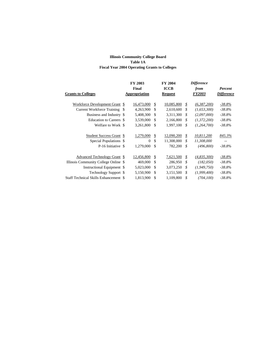#### **Illinois Community College Board Table 1A Fiscal Year 2004 Operating Grants to Colleges**

|               |                                                                                                                                                                                                                                                                                                                                                                                                  |                                                                                                                                                                   | <b>FY 2004</b> | <b>Difference</b> |                   |  |
|---------------|--------------------------------------------------------------------------------------------------------------------------------------------------------------------------------------------------------------------------------------------------------------------------------------------------------------------------------------------------------------------------------------------------|-------------------------------------------------------------------------------------------------------------------------------------------------------------------|----------------|-------------------|-------------------|--|
|               |                                                                                                                                                                                                                                                                                                                                                                                                  |                                                                                                                                                                   | <b>ICCB</b>    | from              | Percent           |  |
| Appropriation |                                                                                                                                                                                                                                                                                                                                                                                                  |                                                                                                                                                                   | <b>Request</b> | <b>FY2003</b>     | <b>Difference</b> |  |
|               |                                                                                                                                                                                                                                                                                                                                                                                                  |                                                                                                                                                                   |                |                   |                   |  |
|               |                                                                                                                                                                                                                                                                                                                                                                                                  | \$                                                                                                                                                                | 10,085,800     | \$<br>(6,387,200) | $-38.8%$          |  |
|               |                                                                                                                                                                                                                                                                                                                                                                                                  | \$                                                                                                                                                                | 2,610,600      | \$<br>(1,653,300) | -38.8%            |  |
|               |                                                                                                                                                                                                                                                                                                                                                                                                  | \$.                                                                                                                                                               | 3,311,300      | \$<br>(2,097,000) | $-38.8\%$         |  |
|               |                                                                                                                                                                                                                                                                                                                                                                                                  | \$                                                                                                                                                                | 2,166,800      | \$<br>(1,372,200) | $-38.8%$          |  |
|               |                                                                                                                                                                                                                                                                                                                                                                                                  | \$                                                                                                                                                                | 1,997,100      | \$<br>(1,264,700) | $-38.8\%$         |  |
|               |                                                                                                                                                                                                                                                                                                                                                                                                  |                                                                                                                                                                   |                |                   |                   |  |
|               |                                                                                                                                                                                                                                                                                                                                                                                                  | \$                                                                                                                                                                | 12,090,200     | \$<br>10,811,200  | 845.3%            |  |
|               | $\Omega$                                                                                                                                                                                                                                                                                                                                                                                         | \$                                                                                                                                                                | 11,308,000     | \$<br>11,308,000  | ٠.                |  |
|               |                                                                                                                                                                                                                                                                                                                                                                                                  | \$                                                                                                                                                                | 782,200        | \$<br>(496,800)   | $-38.8\%$         |  |
|               |                                                                                                                                                                                                                                                                                                                                                                                                  |                                                                                                                                                                   |                |                   |                   |  |
|               |                                                                                                                                                                                                                                                                                                                                                                                                  | \$                                                                                                                                                                | 7,621,500      | \$<br>(4,835,300) | $-38.8%$          |  |
|               | 469,000                                                                                                                                                                                                                                                                                                                                                                                          | \$                                                                                                                                                                | 286,950        | \$<br>(182,050)   | -38.8%            |  |
|               |                                                                                                                                                                                                                                                                                                                                                                                                  | \$                                                                                                                                                                | 3,073,250      | \$<br>(1,949,750) | $-38.8%$          |  |
|               |                                                                                                                                                                                                                                                                                                                                                                                                  | \$                                                                                                                                                                | 3,151,500      | \$<br>(1,999,400) | $-38.8%$          |  |
|               |                                                                                                                                                                                                                                                                                                                                                                                                  | \$                                                                                                                                                                | 1,109,800      | \$<br>(704, 100)  | $-38.8\%$         |  |
|               | Workforce Development Grant \$<br>Current Workforce Training \$<br>Business and Industry \$<br>Education to Careers \$<br>Welfare to Work \$<br>Student Success Grant \$<br>Special Populations \$<br>P-16 Initiative \$<br>Advanced Technology Grant \$<br>Illinois Community College Online \$<br>Instructional Equipment \$<br>Technology Support \$<br>Staff Technical Skills Enhancement \$ | FY 2003<br>Final<br>16,473,000<br>4,263,900<br>5,408,300<br>3,539,000<br>3,261,800<br>1,279,000<br>1,279,000<br>12,456,800<br>5,023,000<br>5,150,900<br>1,813,900 |                |                   |                   |  |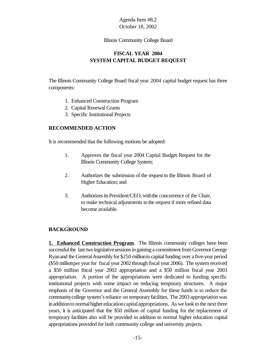#### Illinois Community College Board

# **FISCAL YEAR 2004 SYSTEM CAPITAL BUDGET REQUEST**

The Illinois Community College Board fiscal year 2004 capital budget request has three components:

- 1. Enhanced Construction Program
- 2. Capital Renewal Grants
- 3. Specific Institutional Projects

# **RECOMMENDED ACTION**

It is recommended that the following motions be adopted:

- 1. Approves the fiscal year 2004 Capital Budget Request for the Illinois Community College System;
- 2. Authorizes the submission of the request to the Illinois Board of Higher Education; and
- 3. Authorizes its President/CEO, with the concurrence of the Chair, to make technical adjustments to the request if more refined data become available.

# **BACKGROUND**

**1. Enhanced Construction Program.** The Illinois community colleges have been successful the last two legislative sessions in gaining a commitment from Governor George Ryan and the General Assembly for \$250 million in capital funding over a five-year period (\$50 million per year for fiscal year 2002 through fiscal year 2006). The system received a \$50 million fiscal year 2002 appropriation and a \$50 million fiscal year 2003 appropriation. A portion of the appropriations were dedicated to funding specific institutional projects with some impact on reducing temporary structures. A major emphasis of the Governor and the General Assembly for these funds is to reduce the community college system's reliance on temporary facilities. The 2003 appropriation was in addition to normal higher education capital appropriations. As we look to the next three years, it is anticipated that the \$50 million of capital funding for the replacement of temporary facilities also will be provided in addition to normal higher education capital appropriations provided for both community college and university projects.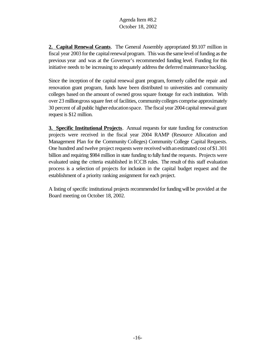**2. Capital Renewal Grants**. The General Assembly appropriated \$9.107 million in fiscal year 2003 for the capital renewal program. This was the same level of funding as the previous year and was at the Governor's recommended funding level. Funding for this initiative needs to be increasing to adequately address the deferred maintenance backlog.

Since the inception of the capital renewal grant program, formerly called the repair and renovation grant program, funds have been distributed to universities and community colleges based on the amount of owned gross square footage for each institution. With over 23 million gross square feet of facilities, community colleges comprise approximately 30 percent of all public higher educationspace. The fiscal year 2004 capital renewal grant request is \$12 million.

**3. Specific Institutional Projects**. Annual requests for state funding for construction projects were received in the fiscal year 2004 RAMP (Resource Allocation and Management Plan for the Community Colleges) Community College Capital Requests. One hundred and twelve project requests were received with an estimated cost of \$1.301 billion and requiring \$984 million in state funding to fully fund the requests. Projects were evaluated using the criteria established in ICCB rules. The result of this staff evaluation process is a selection of projects for inclusion in the capital budget request and the establishment of a priority ranking assignment for each project.

A listing of specific institutional projects recommended forfundingwillbe provided at the Board meeting on October 18, 2002.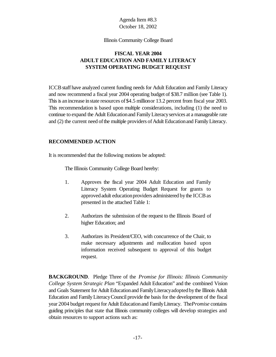#### Illinois Community College Board

# **FISCAL YEAR 2004 ADULT EDUCATION AND FAMILY LITERACY SYSTEM OPERATING BUDGET REQUEST**

ICCBstaff have analyzed current funding needs for Adult Education and Family Literacy and now recommend a fiscal year 2004 operating budget of \$38.7 million (see Table 1). This is an increase in state resources of \$4.5 million or 13.2 percent from fiscal year 2003. This recommendation is based upon multiple considerations, including (1) the need to continue to expand the Adult Educationand FamilyLiteracyservices at a manageable rate and (2) the current need of the multiple providers of Adult Education and Family Literacy.

## **RECOMMENDED ACTION**

It is recommended that the following motions be adopted:

The Illinois Community College Board hereby:

- 1. Approves the fiscal year 2004 Adult Education and Family Literacy System Operating Budget Request for grants to approved adult education providers administered by the ICCB as presented in the attached Table 1:
- 2. Authorizes the submission of the request to the Illinois Board of higher Education; and
- 3. Authorizes its President/CEO, with concurrence of the Chair, to make necessary adjustments and reallocation based upon information received subsequent to approval of this budget request.

**BACKGROUND**. Pledge Three of the *Promise for Illinois: Illinois Community College System Strategic Plan* "Expanded Adult Education" and the combined Vision and Goals Statement for Adult Educationand FamilyLiteracyadoptedbythe Illinois Adult Education and FamilyLiteracyCouncil provide the basis for the development of the fiscal year 2004 budget request for Adult Education and Family Literacy. The *Promise* contains guiding principles that state that Illinois community colleges will develop strategies and obtain resources to support actions such as: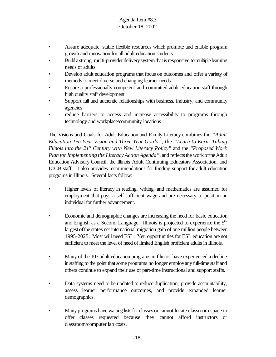- Assure adequate, stable flexible resources which promote and enable program growth and innovation for all adult education students
- Build a strong, multi-provider delivery system that is responsive to multiple learning needs of adults
- Develop adult education programs that focus on outcomes and offer a variety of methods to meet diverse and changing learner needs
- Ensure a professionally competent and committed adult education staff through high quality staff development
- Support full and authentic relationships with business, industry, and community agencies
- reduce barriers to access and increase accessibility to programs through technology and workplace/community locations

The Visions and Goals for Adult Education and Family Literacy combines the *"Adult Education Ten Year Vision and Three Year Goals"*, the *"Learn to Earn: Taking Illinois into the 21st Century with New Literacy Policy"* and the *"Proposed Work Plan for Implementing the Literacy Action Agenda"*, and reflects the work of the Adult Education Advisory Council, the Illinois Adult Continuing Educators Association, and ICCB staff. It also provides recommendations for funding support for adult education programs in Illinois. Several facts follow:

- Higher levels of literacy in reading, writing, and mathematics are assumed for employment that pays a self-sufficient wage and are necessary to position an individual for further advancement.
- Economic and demographic changes are increasing the need for basic education and English as a Second Language. Illinois is projected to experience the 5th largest of the states net international migration gain of one million people between 1995-2025. Most will need ESL. Yet, opportunities for ESL education are not sufficient to meet the level of need of limited English proficient adults in Illinois.
- Many of the 107 adult education programs in Illinois have experienced a decline in staffing to the point that some programs no longer employ any full-time staff and others continue to expand their use of part-time instructional and support staffs.
- Data systems need to be updated to reduce duplication, provide accountability, assess learner performance outcomes, and provide expanded learner demographics.
- Many programs have waiting lists for classes or cannot locate classroom space to offer classes requested because they cannot afford instructors or classroom/computer lab costs.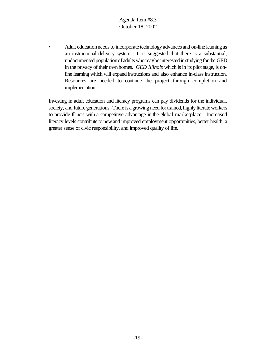• Adult education needs to incorporate technology advances and on-line learning as an instructional delivery system. It is suggested that there is a substantial, undocumented populationof adults whomaybe interested instudying forthe GED in the privacy of their own homes. *GED Illinois* which is in its pilot stage, is online learning which will expand instructions and also enhance in-class instruction. Resources are needed to continue the project through completion and implementation.

Investing in adult education and literacy programs can pay dividends for the individual, society, and future generations. There is a growing need for trained, highly literate workers to provide Illinois with a competitive advantage in the global marketplace. Increased literacy levels contribute to new and improved employment opportunities, better health, a greater sense of civic responsibility, and improved quality of life.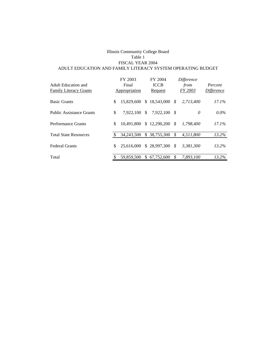#### Illinois Community College Board Table 1 FISCAL YEAR 2004 ADULT EDUCATION AND FAMILY LITERACY SYSTEM OPERATING BUDGET

| Adult Education and<br><b>Family Literacy Grants</b> | FY 2003<br>Final<br>Appropriation |     | FY 2004<br><b>ICCB</b><br>Request |      | Difference<br>from<br>FY 2003 | Percent<br><i>Difference</i> |
|------------------------------------------------------|-----------------------------------|-----|-----------------------------------|------|-------------------------------|------------------------------|
| <b>Basic Grants</b>                                  | \$<br>15,829,600                  |     | \$18,543,000                      | - \$ | 2,713,400                     | $17.1\%$                     |
| <b>Public Assistance Grants</b>                      | \$<br>7.922.100                   | \$  | 7.922.100                         | - \$ | 0                             | $0.0\%$                      |
| <b>Performance Grants</b>                            | \$<br>10.491.800                  |     | \$12,290,200                      | - \$ | 1.798,400                     | $17.1\%$                     |
| <b>Total State Resources</b>                         | 34,243,500                        | \$  | 38,755,300                        | \$   | 4.511.800                     | 13.2%                        |
| <b>Federal Grants</b>                                | \$<br>25.616.000                  |     | \$28,997,300                      | - \$ | 3,381,300                     | $13.2\%$                     |
| Total                                                | 59.859.500                        | \$. | 67.752.600                        | \$   | 7.893.100                     | $13.2\%$                     |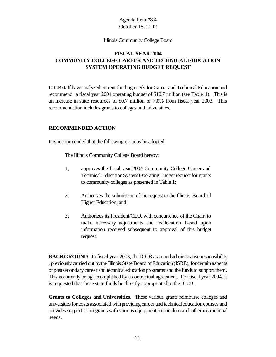#### Illinois Community College Board

# **FISCAL YEAR 2004 COMMUNITY COLLEGE CAREER AND TECHNICAL EDUCATION SYSTEM OPERATING BUDGET REQUEST**

ICCBstaff have analyzed current funding needs for Career and Technical Education and recommend a fiscal year 2004 operating budget of \$10.7 million (see Table 1). This is an increase in state resources of \$0.7 million or 7.0% from fiscal year 2003. This recommendation includes grants to colleges and universities.

### **RECOMMENDED ACTION**

It is recommended that the following motions be adopted:

The Illinois Community College Board hereby:

- 1, approves the fiscal year 2004 Community College Career and Technical Education System Operating Budget request for grants to community colleges as presented in Table 1;
- 2. Authorizes the submission of the request to the Illinois Board of Higher Education; and
- 3. Authorizes its President/CEO, with concurrence of the Chair, to make necessary adjustments and reallocation based upon information received subsequent to approval of this budget request.

**BACKGROUND.** In fiscal year 2003, the ICCB assumed administrative responsibility , previously carried out bythe Illinois State Board ofEducation(ISBE), for certain aspects of postsecondary career and technical education programs and the funds to support them. This is currently being accomplished by a contractual agreement. For fiscal year 2004, it is requested that these state funds be directly appropriated to the ICCB.

**Grants to Colleges and Universities**. These various grants reimburse colleges and universities for costs associated with providing career and technical education courses and provides support to programs with various equipment, curriculum and other instructional needs.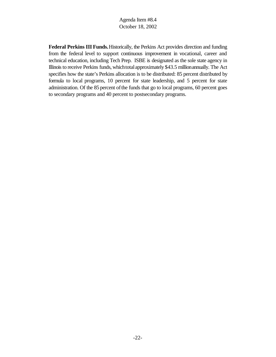**Federal Perkins III Funds.**Historically, the Perkins Act provides direction and funding from the federal level to support continuous improvement in vocational, career and technical education, including Tech Prep. ISBE is designated as the sole state agency in Illinois to receive Perkins funds, which total approximately \$43.5 million annually. The Act specifies how the state's Perkins allocation is to be distributed: 85 percent distributed by formula to local programs, 10 percent for state leadership, and 5 percent for state administration. Of the 85 percent of the funds that go to local programs, 60 percent goes to secondary programs and 40 percent to postsecondary programs.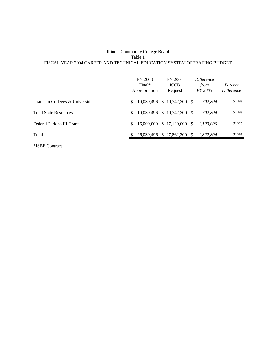#### Illinois Community College Board Table 1 FISCAL YEAR 2004 CAREER AND TECHNICAL EDUCATION SYSTEM OPERATING BUDGET

|                                   |   | FY 2003<br>Final*<br>Appropriation | FY 2004<br><b>ICCB</b><br><b>Request</b> |    | Difference<br>from<br>FY 2003 | Percent<br><i>Difference</i> |
|-----------------------------------|---|------------------------------------|------------------------------------------|----|-------------------------------|------------------------------|
| Grants to Colleges & Universities | S |                                    | 10,039,496 \$ 10,742,300 \$              |    | 702,804                       | $7.0\%$                      |
| <b>Total State Resources</b>      |   | 10,039,496                         | $$10,742,300$ \$                         |    | 702,804                       | $7.0\%$                      |
| Federal Perkins III Grant         | S |                                    | $16,000,000 \quad $17,120,000 \quad $$   |    | 1.120.000                     | $7.0\%$                      |
| Total                             |   | 26,039,496                         | \$27,862,300                             | S. | 1,822,804                     | $7.0\%$                      |

\*ISBE Contract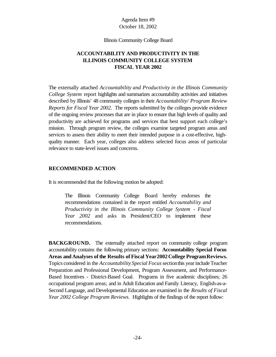Illinois Community College Board

# **ACCOUNTABILITY AND PRODUCTIVITY IN THE ILLINOIS COMMUNITY COLLEGE SYSTEM FISCAL YEAR 2002**

The externally attached *Accountability and Productivity in the Illinois Community College System* report highlights and summarizes accountability activities and initiatives described by Illinois' 48 community colleges in their *Accountability/ Program Review Reports for Fiscal Year 2002*. The reports submitted by the colleges provide evidence of the ongoing review processes that are in place to ensure that high levels of quality and productivity are achieved for programs and services that best support each college's mission. Through program review, the colleges examine targeted program areas and services to assess their ability to meet their intended purpose in a cost-effective, highquality manner. Each year, colleges also address selected focus areas of particular relevance to state-level issues and concerns.

## **RECOMMENDED ACTION**

It is recommended that the following motion be adopted:

The Illinois Community College Board hereby endorses the recommendations contained in the report entitled *Accountability and Productivity in the Illinois Community College System - Fiscal Year 2002* and asks its President/CEO to implement these recommendations.

**BACKGROUND.** The externally attached report on community college program accountability contains the following primary sections: **Accountability Special Focus Areas and Analyses of the Results of Fiscal Year2002College ProgramReviews.** Topics considered in the *Accountability Special Focus*sectionthis yearincludeTeacher Preparation and Professional Development, Program Assessment, and Performance-Based Incentives - District-Based Goal. Programs in five academic disciplines; 26 occupational program areas; and in Adult Education and Family Literacy, English-as-a-Second Language, and Developmental Education are examined in the *Results of Fiscal Year 2002 College Program Reviews.*Highlights of the findings of the report follow: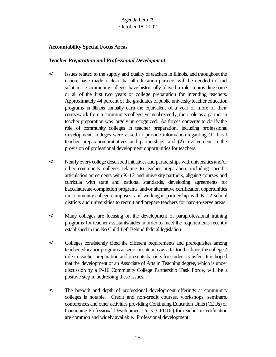## **Accountability Special Focus Areas**

#### *Teacher Preparation and Professional Development*

- < Issues related to the supply and quality of teachers in Illinois, and throughout the nation, have made it clear that all education partners will be needed to find solutions. Community colleges have historically played a role in providing some or all of the first two years of college preparation for intending teachers. Approximately 44 percent of the graduates of public university teacher education programs in Illinois annually earn the equivalent of a year of more of their coursework from a communitycollege, yet untilrecently, their role as a partner in teacher preparation was largely unrecognized. As forces converge to clarify the role of community colleges in teacher preparation, including professional development, colleges were asked to provide information regarding (1) local teacher preparation initiatives and partnerships, and (2) involvement in the provision of professional development opportunities for teachers.
- < Nearly everycollege described initiatives and partnerships withuniversities and/or other community colleges relating to teacher preparation, including specific articulation agreements with K-12 and university partners, aligning courses and curricula with state and national standards, developing agreements for baccalaureate-completion programs and/or alternative certification opportunities on community college campuses, and working in partnership with K-12 school districts and universities to recruit and prepare teachers for hard-to-serve areas.
- < Many colleges are focusing on the development of paraprofessional training programs for teacher assistants/aides in order to meet the requirements recently established in the No Child Left Behind federal legislation.
- < Colleges consistently cited the different requirements and prerequisites among teacher education programs at senior institutions as a factor that limits the colleges' role in teacher preparation and presents barriers forstudent transfer. It is hoped that the development of an Associate of Arts in Teaching degree, which is under discussion by a P-16 Community College Partnership Task Force, will be a positive step in addressing these issues.
- < The breadth and depth of professional development offerings at community colleges is notable. Credit and non-credit courses, workshops, seminars, conferences and other activities providing Continuing Education Units(CEUs) or Continuing Professional Development Units (CPDUs) for teacher recertification are common and widely available. Professional development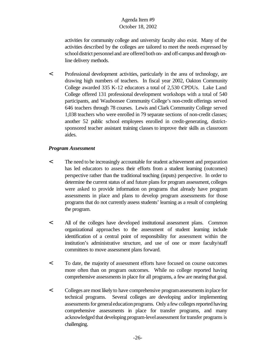activities for community college and university faculty also exist. Many of the activities described by the colleges are tailored to meet the needs expressed by school district personnel and are offered both on- and off-campus and through online delivery methods.

< Professional development activities, particularly in the area of technology, are drawing high numbers of teachers. In fiscal year 2002, Oakton Community College awarded 335 K-12 educators a total of 2,530 CPDUs. Lake Land College offered 131 professional development workshops with a total of 540 participants, and Waubonsee Community College's non-credit offerings served 646 teachers through 78 courses. Lewis and Clark Community College served 1,038 teachers who were enrolled in 79 separate sections of non-credit classes; another 52 public school employees enrolled in credit-generating, districtsponsored teacher assistant training classes to improve their skills as classroom aides.

## *Program Assessment*

- < The need to be increasingly accountable for student achievement and preparation has led educators to assess their efforts from a student learning (outcomes) perspective rather than the traditional teaching (inputs) perspective. In order to determine the current status of and future plans for program assessment, colleges were asked to provide information on programs that already have program assessments in place and plans to develop program assessments for those programs that do not currently assess students' learning as a result of completing the program.
- < All of the colleges have developed institutional assessment plans. Common organizational approaches to the assessment of student learning include identification of a central point of responsibility for assessment within the institution's administrative structure, and use of one or more faculty/staff committees to move assessment plans forward.
- < To date, the majority of assessment efforts have focused on course outcomes more often than on program outcomes. While no college reported having comprehensive assessments in place for all programs, a few are nearing that goal.
- < Colleges are most likely to have comprehensive programassessmentsinplace for technical programs. Several colleges are developing and/or implementing assessments for general education programs. Only a few colleges reported having comprehensive assessments in place for transfer programs, and many acknowledged that developing program-level assessment for transfer programs is challenging.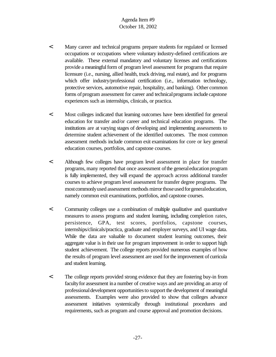- < Many career and technical programs prepare students for regulated or licensed occupations or occupations where voluntary industry-defined certifications are available. These external mandatory and voluntary licenses and certifications provide a meaningful form of program level assessment for programs that require licensure (i.e., nursing, allied health, truck driving, real estate), and for programs which offer industry/professional certification (i.e., information technology, protective services, automotive repair, hospitality, and banking). Other common forms of program assessment for career and technical programs include capstone experiences such as internships, clinicals, or practica.
- < Most colleges indicated that learning outcomes have been identified for general education for transfer and/or career and technical education programs. The institutions are at varying stages of developing and implementing assessments to determine student achievement of the identified outcomes. The most common assessment methods include common exit examinations for core or key general education courses, portfolios, and capstone courses.
- < Although few colleges have program level assessment in place for transfer programs, many reported that once assessment of the general education program is fully implemented, they will expand the approach across additional transfer courses to achieve program level assessment for transfer degree programs. The most commonly used assessment methods mirror those used for general education, namely common exit examinations, portfolios, and capstone courses.
- < Community colleges use a combination of multiple qualitative and quantitative measures to assess programs and student learning, including completion rates, persistence, GPA, test scores, portfolios, capstone courses, internships/clinicals/practica, graduate and employer surveys, and UI wage data. While the data are valuable to document student learning outcomes, their aggregate value is in their use for program improvement in order to support high student achievement. The college reports provided numerous examples of how the results of program level assessment are used forthe improvement of curricula and student learning.
- < The college reports provided strong evidence that they are fostering buy-in from faculty for assessment in a number of creative ways and are providing an array of professional development opportunities to support the development of meaningful assessments. Examples were also provided to show that colleges advance assessment initiatives systemically through institutional procedures and requirements, such as program and course approval and promotion decisions.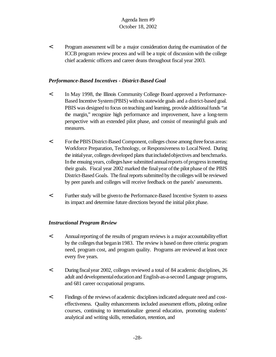< Program assessment will be a major consideration during the examination of the ICCB program review process and will be a topic of discussion with the college chief academic officers and career deans throughout fiscal year 2003.

#### *Performance-Based Incentives - District-Based Goal*

- < In May 1998, the Illinois Community College Board approved a Performance-Based Incentive System(PBIS) withsix statewide goals and a district-based goal. PBIS was designed to focus on teaching and learning, provide additional funds "at the margin," recognize high performance and improvement, have a long-term perspective with an extended pilot phase, and consist of meaningful goals and measures.
- < ForthePBISDistrict-BasedComponent, colleges chose among threefocus areas: Workforce Preparation, Technology, or Responsiveness to Local Need. During the initialyear, colleges developed plans thatincludedobjectives and benchmarks. In the ensuing years, colleges have submitted annual reports of progress in meeting their goals. Fiscal year 2002 marked the final year of the pilot phase of the PBIS District-Based Goals. The final reports submitted by the colleges will be reviewed by peer panels and colleges will receive feedback on the panels' assessments.
- < Further study will be givento the Performance-Based Incentive System to assess its impact and determine future directions beyond the initial pilot phase.

#### *Instructional Program Review*

- < Annualreporting of the results of program reviews is a major accountabilityeffort by the colleges that began in 1983. The review is based on three criteria: program need, program cost, and program quality. Programs are reviewed at least once every five years.
- < During fiscalyear 2002, colleges reviewed a total of 84 academic disciplines, 26 adult and developmentaleducationand English-as-a-second Language programs, and 681 career occupational programs.
- $\leq$  Findings of the reviews of academic disciplines indicated adequate need and costeffectiveness. Quality enhancements included assessment efforts, piloting online courses, continuing to internationalize general education, promoting students' analytical and writing skills, remediation, retention, and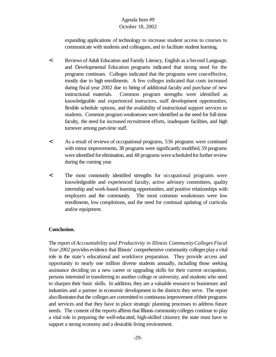expanding applications of technology to increase student access to courses to communicate with students and colleagues, and to facilitate student learning.

- < Reviews ofAdult Education and Family Literacy, English as a Second Language, and Developmental Education programs indicated that strong need for the programs continues. Colleges indicated that the programs were cost-effective, mostly due to high enrollments. A few colleges indicated that costs increased during fiscal year 2002 due to hiring of additional faculty and purchase of new instructional materials. Common program strengths were identified as knowledgeable and experienced instructors, staff development opportunities, flexible schedule options, and the availability of instructional support services to students. Common program weaknesses were identified as the need for full-time faculty, the need for increased recruitment efforts, inadequate facilities, and high turnover among part-time staff.
- < As a result of reviews of occupational programs, 536 programs were continued with minor improvements, 38 programs were significantly modified, 59 programs were identified for elimination, and 48 programs were scheduled for further review during the coming year.
- < The most commonly identified strengths for occupational programs were knowledgeable and experienced faculty, active advisory committees, quality internship and work-based learning opportunities, and positive relationships with employers and the community. The most common weaknesses were low enrollments, low completions, and the need for continual updating of curricula and/or equipment.

## **Conclusion.**

The report of*Accountability and Productivity in Illinois CommunityColleges Fiscal Year 2002* provides evidence that Illinois' comprehensive community colleges playa vital role in the state's educational and workforce preparation. They provide access and opportunity to nearly one million diverse students annually, including those seeking assistance deciding on a new career or upgrading skills for their current occupation, persons interested in transferring to another college or university, and students who need to sharpen their basic skills. In addition, they are a valuable resource to businesses and industries and a partner in economic development in the districts they serve. The report also illustrates that the colleges are committed to continuous improvement of their programs and services and that they have in place strategic planning processes to address future needs. The content of the reports affirms that Illinois community colleges continue to play a vital role in preparing the well-educated, high-skilled citizenry the state must have to support a strong economy and a desirable living environment.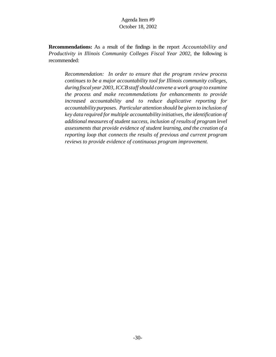**Recommendations:** As a result of the findings in the report *Accountability and Productivity in Illinois Community Colleges Fiscal Year 2002*, the following is recommended:

*Recommendation: In order to ensure that the program review process continues to be a major accountability tool for Illinois community colleges, duringfiscal year 2003, ICCBstaff should convene a work group to examine the process and make recommendations for enhancements to provide increased accountability and to reduce duplicative reporting for accountability purposes. Particular attention should be given to inclusion of key data required for multiple accountability initiatives, the identification of additional measures of student success, inclusion of results of program level assessments that provide evidence of student learning, and the creation of a reporting loop that connects the results of previous and current program reviews to provide evidence of continuous program improvement.*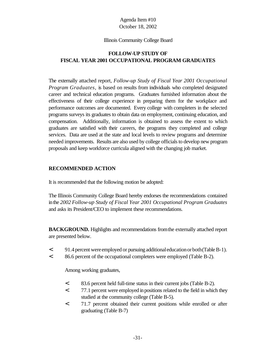#### Illinois Community College Board

# **FOLLOW-UP STUDY OF FISCAL YEAR 2001 OCCUPATIONAL PROGRAM GRADUATES**

The externally attached report, *Follow-up Study of Fiscal Year 2001 Occupational Program Graduates,* is based on results from individuals who completed designated career and technical education programs. Graduates furnished information about the effectiveness of their college experience in preparing them for the workplace and performance outcomes are documented. Every college with completers in the selected programs surveys its graduates to obtain data on employment, continuing education, and compensation. Additionally, information is obtained to assess the extent to which graduates are satisfied with their careers, the programs they completed and college services. Data are used at the state and local levels to review programs and determine needed improvements. Results are also used by college officials to develop new program proposals and keep workforce curricula aligned with the changing job market.

## **RECOMMENDED ACTION**

It is recommended that the following motion be adopted:

The Illinois Community College Board hereby endorses the recommendations contained inthe *2002 Follow-up Study of Fiscal Year 2001 Occupational Program Graduates* and asks its President/CEO to implement these recommendations.

**BACKGROUND.** Highlights and recommendations from the externally attached report are presented below.

- < 91.4percent wereemployed or pursuing additionaleducationorboth(TableB-1).
- < 86.6 percent of the occupational completers were employed (Table B-2).

Among working graduates,

- < 83.6 percent held full-time status in their current jobs (Table B-2).
- < 77.1 percent were employed inpositions related to the field in which they studied at the community college (Table B-5).
- < 71.7 percent obtained their current positions while enrolled or after graduating (Table B-7)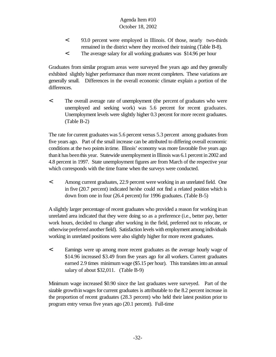- < 93.0 percent were employed in Illinois. Of those, nearly two-thirds remained in the district where they received their training (Table B-8).
- < The average salary for all working graduates was \$14.96 per hour

Graduates from similar program areas were surveyed five years ago and they generally exhibited slightly higher performance than more recent completers. These variations are generally small. Differences in the overall economic climate explain a portion of the differences.

< The overall average rate of unemployment (the percent of graduates who were unemployed and seeking work) was 5.6 percent for recent graduates. Unemployment levels were slightly higher 0.3 percent for more recent graduates. (Table B-2)

The rate for current graduates was 5.6 percent versus 5.3 percent among graduates from five years ago. Part of the small increase can be attributed to differing overall economic conditions at the two points in time. Illinois' economy was more favorable five years ago thanit has beenthis year. Statewide unemployment in Illinois was 6.1 percent in 2002 and 4.8 percent in 1997. State unemployment figures are from March of the respective year which corresponds with the time frame when the surveys were conducted.

< Among current graduates, 22.9 percent were working in an unrelated field. One in five (20.7 percent) indicated he/she could not find a related position which is down from one in four (26.4 percent) for 1996 graduates. (Table B-5)

A slightly larger percentage of recent graduates who provided a reason for working inan unrelated area indicated that they were doing so as a preference (i.e., better pay, better work hours, decided to change after working in the field, preferred not to relocate, or otherwise preferred anotherfield). Satisfaction levels with employment among individuals working in unrelated positions were also slightly higher for more recent graduates.

< Earnings were up among more recent graduates as the average hourly wage of \$14.96 increased \$3.49 from five years ago for all workers. Current graduates earned 2.9 times minimum wage (\$5.15 per hour). This translates into an annual salary of about \$32,011. (Table B-9)

Minimum wage increased \$0.90 since the last graduates were surveyed. Part of the sizable growth in wages for current graduates is attributable to the 8.2 percent increase in the proportion of recent graduates (28.3 percent) who held their latest position prior to program entry versus five years ago (20.1 percent). Full-time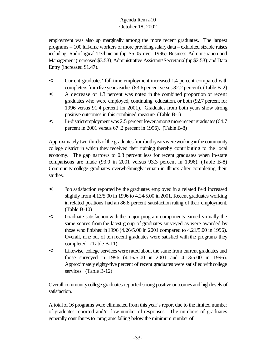employment was also up marginally among the more recent graduates. The largest programs – 100 full-time workers or more providing salarydata – exhibited sizable raises including: Radiological Technician (up \$5.05 over 1996) Business Administration and Management (increased \$3.53); Administrative Assistant/Secretarial (up \$2.53); and Data Entry (increased \$1.47).

- < Current graduates' full-time employment increased 1**.**4 percent compared with completers from five years earlier  $(83.6 \text{ percent} \text{ versus } 82.2 \text{ percent})$ . (Table B-2)
- < A decrease of 1**.**3 percent was noted in the combined proportion of recent graduates who were employed, continuing education, or both (92.7 percent for 1996 versus 91.4 percent for 2001). Graduates from both years show strong positive outcomes in this combined measure. (Table B-1)
- < In-districtemployment was 2.5 percent lower amongmore recent graduates(64.7 percent in 2001 versus 67 .2 percent in 1996). (Table B-8)

Approximately two-thirds of the graduates from both years were working in the community college district in which they received their training thereby contributing to the local economy. The gap narrows to 0.3 percent less for recent graduates when in-state comparisons are made (93.0 in 2001 versus 93.3 percent in 1996). (Table B-8) Community college graduates overwhelmingly remain in Illinois after completing their studies.

- < Job satisfaction reported by the graduates employed in a related field increased slightly from 4.13/5.00 in 1996 to 4.24/5.00 in 2001. Recent graduates working in related positions had an 86.8 percent satisfaction rating of their employment. (Table B-10)
- < Graduate satisfaction with the major program components earned virtually the same scores from the latest group of graduates surveyed as were awarded by those who finished in1996 (4.26/5.00 in 2001 compared to 4.21/5.00 in 1996). Overall, nine out of ten recent graduates were satisfied with the programs they completed. (Table B-11)
- < Likewise, college services were rated about the same from current graduates and those surveyed in 1996 (4.16/5.00 in 2001 and 4.13/5.00 in 1996). Approximately eighty-five percent of recent graduates were satisfied with college services. (Table B-12)

Overall community college graduates reported strong positive outcomes and high levels of satisfaction.

A totalof16 programs were eliminated from this year's report due to the limited number of graduates reported and/or low number of responses. The numbers of graduates generally contributes to programs falling below the minimum number of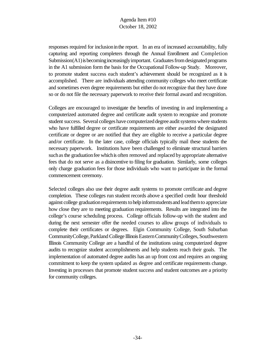responses required for inclusion in the report. In an era of increased accountability, fully capturing and reporting completers through the Annual Enrollment and Completion  $Submission(A1)$  is becoming increasingly important. Graduates from designated programs in the A1 submission form the basis for the Occupational Follow-up Study. Moreover, to promote student success each student's achievement should be recognized as it is accomplished. There are individuals attending community colleges who meet certificate and sometimes even degree requirements but either do notrecognize that they have done so or do not file the necessary paperwork to receive their formal award and recognition.

Colleges are encouraged to investigate the benefits of investing in and implementing a computerized automated degree and certificate audit system to recognize and promote student success. Several colleges have computerized degree audit systems where students who have fulfilled degree or certificate requirements are either awarded the designated certificate or degree or are notified that they are eligible to receive a particular degree and/or certificate. In the later case, college officials typically mail these students the necessary paperwork. Institutions have been challenged to eliminate structural barriers such as the graduation fee which is often removed and replaced by appropriate alternative fees that do not serve as a disincentive to filing for graduation. Similarly, some colleges only charge graduation fees for those individuals who want to participate in the formal commencement ceremony.

Selected colleges also use their degree audit systems to promote certificate and degree completion. These colleges run student records above a specified credit hour threshold against college graduation requirements to help informstudents and lead them to appreciate how close they are to meeting graduation requirements. Results are integrated into the college's course scheduling process. College officials follow-up with the student and during the next semester offer the needed courses to allow groups of individuals to complete their certificates or degrees. Elgin Community College, South Suburban CommunityCollege,ParklandCollege IllinoisEasternCommunityColleges, Southwestern Illinois Community College are a handful of the institutions using computerized degree audits to recognize student accomplishments and help students reach their goals. The implementation of automated degree audits has an up front cost and requires an ongoing commitment to keep the system updated as degree and certificate requirements change. Investing in processes that promote student success and student outcomes are a priority for community colleges.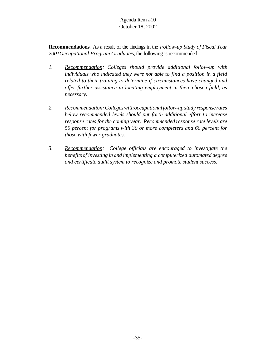**Recommendations**. As a result of the findings in the *Follow-up Study of Fiscal Year 2001Occupational Program Graduate*s, the following is recommended:

- *1. Recommendation: Colleges should provide additional follow-up with individuals who indicated they were not able to find a position in a field related to their training to determine if circumstances have changed and offer further assistance in locating employment in their chosen field, as necessary.*
- *2. Recommendation:Collegeswithoccupationalfollow-upstudy response rates below recommended levels should put forth additional effort to increase response rates for the coming year. Recommended response rate levels are 50 percent for programs with 30 or more completers and 60 percent for those with fewer graduates.*
- *3. Recommendation: College officials are encouraged to investigate the benefits of investing in and implementing a computerized automated degree and certificate audit system to recognize and promote student success*.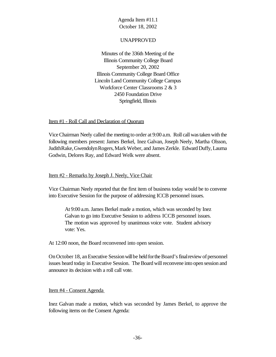#### UNAPPROVED

Minutes of the 336th Meeting of the Illinois Community College Board September 20, 2002 Illinois Community College Board Office Lincoln Land Community College Campus Workforce Center Classrooms 2 & 3 2450 Foundation Drive Springfield, Illinois

#### Item #1 - Roll Call and Declaration of Quorum

ViceChairman Neely called the meeting to order at 9:00 a.m. Roll call was taken with the following members present: James Berkel, Inez Galvan, Joseph Neely, Martha Olsson, JudithRake,GwendolynRogers,Mark Weber, and James Zerkle. Edward Duffy, Laurna Godwin, Delores Ray, and Edward Welk were absent.

#### Item #2 - Remarks by Joseph J. Neely, Vice Chair

Vice Chairman Neely reported that the first item of business today would be to convene into Executive Session for the purpose of addressing ICCB personnel issues.

At 9:00 a.m. James Berkel made a motion, which was seconded by Inez Galvan to go into Executive Session to address ICCB personnel issues. The motion was approved by unanimous voice vote. Student advisory vote: Yes.

At 12:00 noon, the Board reconvened into open session.

On October 18, an Executive Session will be held for the Board's final review of personnel issues heard today in Executive Session. The Board will reconvene into open session and announce its decision with a roll call vote.

#### Item #4 - Consent Agenda

Inez Galvan made a motion, which was seconded by James Berkel, to approve the following items on the Consent Agenda: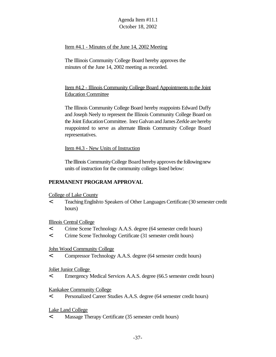## Item #4.1 - Minutes of the June 14, 2002 Meeting

The Illinois Community College Board hereby approves the minutes of the June 14, 2002 meeting as recorded.

Item #4.2 - Illinois Community College Board Appointments to the Joint Education Committee

The Illinois Community College Board hereby reappoints Edward Duffy and Joseph Neely to represent the Illinois Community College Board on the Joint EducationCommittee. Inez Galvan and James Zerkle are hereby reappointed to serve as alternate Illinois Community College Board representatives.

Item #4.3 - New Units of Instruction

The Illinois Community College Board hereby approves the following new units of instruction for the community colleges listed below:

## **PERMANENT PROGRAM APPROVAL**

College of Lake County

< TeachingEnglishto Speakers of Other LanguagesCertificate (30 semester credit hours)

Illinois Central College

- < Crime Scene Technology A.A.S. degree (64 semester credit hours)
- < Crime Scene Technology Certificate (31 semester credit hours)

John Wood Community College

< Compressor Technology A.A.S. degree (64 semester credit hours)

Joliet Junior College

< Emergency Medical Services A.A.S. degree (66.5 semester credit hours)

Kankakee Community College

< Personalized Career Studies A.A.S. degree (64 semester credit hours)

Lake Land College

< Massage Therapy Certificate (35 semester credit hours)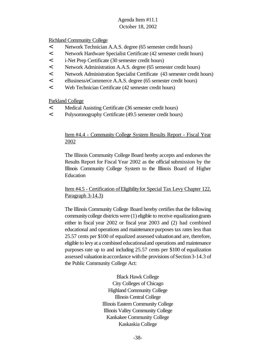## Richland Community College

- < Network Technician A.A.S. degree (65 semester credit hours)
- < Network Hardware Specialist Certificate (42 semester credit hours)
- < i-Net Prep Certificate (30 semester credit hours)
- < Network Administration A.A.S. degree (65 semester credit hours)
- < Network Administration Specialist Certificate (43 semester credit hours)
- < eBusiness/eCommerce A.A.S. degree (65 semester credit hours)
- < Web Technician Certificate (42 semester credit hours)

Parkland College

- < Medical Assisting Certificate (36 semester credit hours)
- < Polysomnography Certificate (49.5 semester credit hours)

## Item #4.4 - Community College System Results Report - Fiscal Year 2002

The Illinois Community College Board hereby accepts and endorses the Results Report for Fiscal Year 2002 as the official submission by the Illinois Community College System to the Illinois Board of Higher Education

# Item #4.5 - Certification of Eligibility for Special Tax Levy Chapter 122, Paragraph 3-14.3)

The Illinois Community College Board hereby certifies that the following communitycollege districts were (1) eligible to receive equalizationgrants either in fiscal year 2002 or fiscal year 2003 and (2) had combined educational and operations and maintenance purposes tax rates less than 25.57 cents per \$100 of equalized assessed valuationand are, therefore, eligible to levy at a combined educationaland operations and maintenance purposes rate up to and including 25.57 cents per \$100 of equalization assessed valuation in accordance with the provisions of Section 3-14.3 of the Public Community College Act:

> Black Hawk College City Colleges of Chicago Highland Community College Illinois Central College Illinois Eastern Community College Illinois Valley Community College Kankakee Community College Kaskaskia College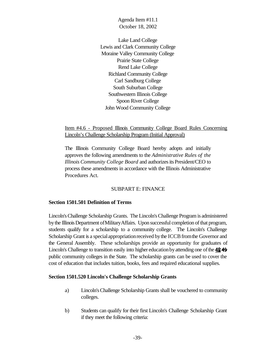Lake Land College Lewis and Clark Community College Moraine Valley Community College Prairie State College Rend Lake College Richland Community College Carl Sandburg College South Suburban College Southwestern Illinois College Spoon River College John Wood Community College

Item #4.6 - Proposed Illinois Community College Board Rules Concerning Lincoln's Challenge Scholarship Program (Initial Approval)

The Illinois Community College Board hereby adopts and initially approves the following amendments to the *Administrative Rules of the Illinois Community College Board* and authorizesits President/CEO to process these amendments in accordance with the Illinois Administrative Procedures Act.

#### SUBPART E: FINANCE

#### **Section 1501.501 Definition of Terms**

Lincoln'sChallenge Scholarship Grants. The Lincoln's Challenge Program is administered by the Illinois Department of Military Affairs. Upon successful completion of that program, students qualify for a scholarship to a community college. The Lincoln's Challenge Scholarship Grant is a special appropriation received by the ICCB from the Governor and the General Assembly. These scholarships provide an opportunity for graduates of Lincoln's Challenge to transition easily into higher education by attending one of the  $4849$ public community colleges in the State. The scholarship grants can be used to cover the cost of education that includes tuition, books, fees and required educational supplies.

## **Section 1501.520 Lincoln's Challenge Scholarship Grants**

- a) Lincoln'sChallenge Scholarship Grants shall be vouchered to community colleges.
- b) Students can qualify for their first Lincoln's Challenge Scholarship Grant if they meet the following criteria: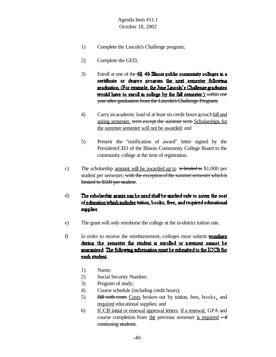- 1) Complete the Lincoln's Challenge program;
- 2) Complete the GED;
- 3) Enroll at one of the  $\frac{48}{9}$  dimest public community colleges in a pertificate or degree program the next semester following graduation (For example, the June Lincoln's Challenge graduates would have to enroll in college by the fall semester.) within one year after graduation from the Lincoln's Challenge Program;
- 4) Carryanacademic load of at least six credit hoursineachfall and spring semester, term except the summer term Scholarships for the summer semester will not be awarded; and
- 5) Present the "notification of award" letter signed by the President/CEO of the Illinois Community College Board to the community college at the time of registration.
- c) The scholarship <u>amount will be awarded up to</u> is limited to  $$1,000$  per student per semester, with the exception of the summer semester which is limited to \$500 per student.
- The scholarship grants can be used shall be applied only to gover the cost d) of education which mehides tution, books, fees, and required educational supplies.
- e) The grant will only reimburse the college at the in-district tuition rate.
- f) In order to receive the reimbursement, colleges must submit **vouchers** during the semester the student is enrolled or payment namot be guaranteed. The following information must be submitted to the ICCB for each student:
	- 1) Name;
	- 2) Social Security Number;
	- 3) Program of study;
	- 4) Course schedule (including credit hours);
	- 5) Bill with costs Costs broken out by tuition, fees, books, and required educational supplies; and
	- 6) ICCB initial or renewal approval letters. If a renewal, GPA and course completion from the previous semester is required  $-\mathbf{if}$ continuing students.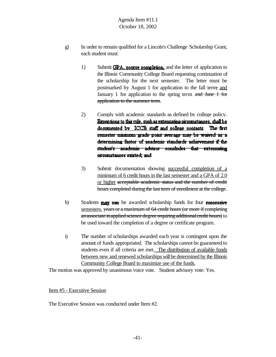- g) In order to remain qualified for a Lincoln's Challenge Scholarship Grant, each student must:
	- 1) Submit  $\text{GPA}$ , course completion, and the letter of application to the Illinois Community College Board requesting continuation of the scholarship for the next semester. The letter must be postmarked by August 1 for application to the fall term, and January 1 for application to the spring term and June 1 for application to the summer term.
	- 2) Comply with academic standards as defined by college policy. Exceptions to this rule, such as extenuating circumstances, shall be documented by ICCB staff and college contacts. The first semester minimum grade point average may be waived as a determining factor of academic standards achievement if the student's academic advisor concludes that extenuating oroumstances existed, and
	- 3) Submit documentation showing successful completion of a minimum of 6 credit hours in the last semester and a GPA of 2.0 or higher acceptable academic status and the number of credit hours completed during the last term of enrollment at the college.
- h) Students  $\frac{may}{may}$  can be awarded scholarship funds for four successive semesters, years or a maximum of 64 credit hours (or more if completing an associate in applied science degree requiring additional credit hours) to be used toward the completion of a degree or certificate program.
- i) The number of scholarships awarded each year is contingent upon the amount of funds appropriated. The scholarships cannot be guaranteed to students even if all criteria are met. The distribution of available funds between new and renewed scholarships will be determined by the Illinois Community College Board to maximize use of the funds.

The motion was approved by unanimous voice vote. Student advisory vote: Yes.

Item #5 - Executive Session

The Executive Session was conducted under Item #2.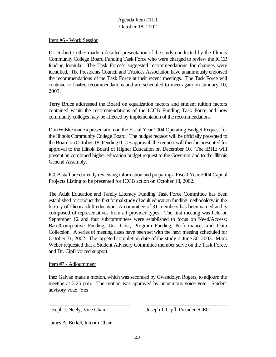#### Item #6 - Work Session

Dr. Robert Luther made a detailed presentation of the study conducted by the Illinois Community College Board Funding Task Force who were charged to review the ICCB funding formula. The Task Force's suggested recommendations for changes were identified. The Presidents Council and Trustees Association have unanimously endorsed the recommendations of the Task Force at their recent meetings. The Task Force will continue to finalize recommendations and are scheduled to meet again on January 10, 2003.

Terry Bruce addressed the Board on equalization factors and student tuition factors contained within the recommendations of the ICCB Funding Task Force and how community colleges may be affected by implementation of the recommendations.

DonWilskemade a presentation on the Fiscal Year 2004 Operating Budget Request for the Illinois Community College Board. The budget request will be officially presented to the Board onOctober 18. Pending ICCBapproval, the request will thenbe presented for approval to the Illinois Board of Higher Education on December 10. The IBHE will present an combined higher education budget request to the Governor and to the Illinois General Assembly.

ICCB staff are currently reviewing information and preparing a Fiscal Year 2004 Capital Projects Listing to be presented for ICCB action on October 18, 2002.

The Adult Education and Family Literacy Funding Task Force Committee has been established to conduct the first formal study of adult education funding methodology in the history of Illinois adult education. A committee of 31 members has been named and is composed of representatives from all provider types. The first meeting was held on September 12 and four subcommittees were established to focus on Need/Access; Base/Competitive Funding, Unit Cost, Program Funding; Performance; and Data Collection. A series of meeting dates have been set with the next meeting scheduled for October 31, 2002. The targeted completion date of the study is June 30, 2003. Mark Weber requested that a Student Advisory Committee member serve on the Task Force, and Dr. Cipfl voiced support.

#### Item #7 - Adjournment

Inez Galvan made a motion, which was seconded by Gwendolyn Rogers, to adjourn the meeting at 3:25 p.m. The motion was approved by unanimous voice vote. Student advisory vote: Yes

Joseph J. Neely, Vice Chair Joseph J. Cipfl, President/CEO

James A. Berkel, Interim Chair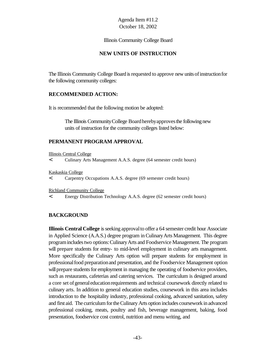Illinois Community College Board

## **NEW UNITS OF INSTRUCTION**

The Illinois Community College Board is requested to approve new units of instruction for the following community colleges:

## **RECOMMENDED ACTION:**

It is recommended that the following motion be adopted:

The Illinois Community College Board hereby approves the following new units of instruction for the community colleges listed below:

## **PERMANENT PROGRAM APPROVAL**

Illinois Central College

< Culinary Arts Management A.A.S. degree (64 semester credit hours)

Kaskaskia College

< Carpentry Occupations A.A.S. degree (69 semester credit hours)

Richland Community College

< Energy Distribution Technology A.A.S. degree (62 semester credit hours)

#### **BACKGROUND**

**Illinois Central College** is seeking approval to offer a 64 semester credit hour Associate in Applied Science (A.A.S.) degree program inCulinaryArts Management. This degree programincludestwo options:CulinaryArts and Foodservice Management. The program will prepare students for entry- to mid-level employment in culinary arts management. More specifically the Culinary Arts option will prepare students for employment in professional food preparation and presentation, and the Foodservice Management option will prepare students for employment in managing the operating of foodservice providers, such as restaurants, cafeterias and catering services. The curriculum is designed around a core set of general education requirements and technical coursework directly related to culinary arts. In addition to general education studies, coursework in this area includes introduction to the hospitality industry, professional cooking, advanced sanitation, safety and first aid. The curriculum for the Culinary Arts option includes coursework in advanced professional cooking, meats, poultry and fish, beverage management, baking, food presentation, foodservice cost control, nutrition and menu writing, and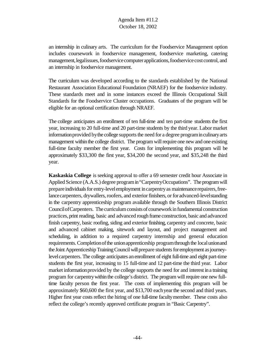an internship in culinary arts. The curriculum for the Foodservice Management option includes coursework in foodservice management, foodservice marketing, catering management, legalissues, foodservice computer applications, foodservice cost control, and an internship in foodservice management.

The curriculum was developed according to the standards established by the National Restaurant Association Educational Foundation (NRAEF) for the foodservice industry. These standards meet and in some instances exceed the Illinois Occupational Skill Standards for the Foodservice Cluster occupations. Graduates of the program will be eligible for an optional certification through NRAEF.

The college anticipates an enrollment of ten full-time and ten part-time students the first year, increasing to 20 full-time and 20 part-time students by the third year. Labor market information provided by the college supports the need for a degree program in culinary arts management within the college district. The program will require one new and one existing full-time faculty member the first year. Costs for implementing this program will be approximately \$33,300 the first year, \$34,200 the second year, and \$35,248 the third year.

**Kaskaskia College** is seeking approval to offer a 69 semester credit hour Associate in Applied Science (A.A.S.) degree programin"CarpentryOccupations". The program will prepare individuals for entry-level employment in carpentry as maintenance repairers, freelance carpenters, drywallers, roofers, and exterior finishers, or for advanced-level standing in the carpentry apprenticeship program available through the Southern Illinois District CouncilofCarpenters. The curriculum consists of coursework in fundamental construction practices,print reading, basic and advanced rough frame construction, basic and advanced finish carpentry, basic roofing, siding and exterior finishing, carpentry and concrete, basic and advanced cabinet making, sitework and layout, and project management and scheduling, in addition to a required carpentry internship and general education requirements. Completion of the union apprenticeship program through the local unionand the Joint Apprenticeship Training Council will prepare students for employment as journeylevelcarpenters. The college anticipates anenrollment of eight full-time and eight part-time students the first year, increasing to 15 full-time and 12 part-time the third year. Labor market information provided by the college supports the need for and interest in a training program for carpentrywithin the college's district. The program will require one new fulltime faculty person the first year. The costs of implementing this program will be approximately \$60,600 the first year, and \$13,700 eachyearthe second and third years. Higher first year costs reflect the hiring of one full-time facultymember. These costs also reflect the college's recently approved certificate program in "Basic Carpentry".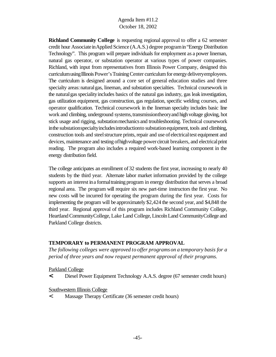**Richland Community College** is requesting regional approval to offer a 62 semester credit hour Associate in Applied Science (A.A.S.) degree program in "Energy Distribution Technology". This program will prepare individuals for employment as a power lineman, natural gas operator, or substation operator at various types of power companies. Richland, with input from representatives from Illinois Power Company, designed this curriculum using Illinois Power's Training Center curriculum for energy delivery employees. The curriculum is designed around a core set of general education studies and three specialty areas: natural gas, lineman, and substation specialties. Technical coursework in the natural gas speciality includes basics of the natural gas industry, gas leak investigation, gas utilization equipment, gas construction, gas regulation, specific welding courses, and operator qualification. Technical coursework in the lineman specialty includes basic line work and climbing, underground systems, transmission theory and high voltage gloving, hot stick usage and rigging, substation mechanics and troubleshooting. Technical coursework in the substation specialty includes introduction to substation equipment, tools and climbing, construction tools and steel structure prints, repair and use of electrical test equipment and devices, maintenance and testing ofhighvoltage power circuit breakers, and electricalprint reading. The program also includes a required work-based learning component in the energy distribution field.

The college anticipates an enrollment of 32 students the first year, increasing to nearly 40 students by the third year. Alternate labor market information provided by the college supports an interest in a formal training program in energy distribution that serves a broad regional area. The program will require six new part-time instructors the first year. No new costs will be incurred for operating the program during the first year. Costs for implementing the program will be approximately \$2,424 the second year, and \$4,848 the third year. Regional approval of this program includes Richland Community College, Heartland Community College, Lake Land College, Lincoln Land Community College and Parkland College districts.

## **TEMPORARY to PERMANENT PROGRAM APPROVAL**

*The following colleges were approved to offer programs on a temporary basis for a period of three years and now request permanent approval of their programs.*

Parkland College

**<** Diesel Power Equipment Technology A.A.S. degree (67 semester credit hours)

Southwestern Illinois College

< Massage Therapy Certificate (36 semester credit hours)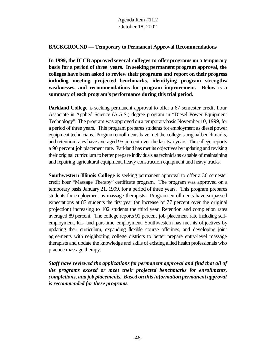## **BACKGROUND — Temporary to Permanent Approval Recommendations**

**In 1999, the ICCB approved several colleges to offer programs on a temporary basis for a period of three years. In seeking permanent program approval, the colleges have been asked to review their programs and report on their progress including meeting projected benchmarks, identifying program strengths/ weaknesses, and recommendations for program improvement. Below is a summary of each program's performance during this trial period.**

**Parkland College** is seeking permanent approval to offer a 67 semester credit hour Associate in Applied Science (A.A.S.) degree program in "Diesel Power Equipment Technology". The program was approved ona temporarybasis November 10, 1999, for a period of three years. This program prepares students for employment as diesel power equipment technicians. Program enrollments have met the college's originalbenchmarks, and retention rates have averaged 95 percent over the last two years. The college reports a 90 percent job placement rate. Parkland has met its objectives by updating and revising their original curriculum to better prepare individuals astechnicians capable of maintaining and repairing agricultural equipment, heavy construction equipment and heavy trucks.

**Southwestern Illinois College** is seeking permanent approval to offer a 36 semester credit hour "Massage Therapy" certificate program. The program was approved on a temporary basis January 21, 1999, for a period of three years. This program prepares students for employment as massage therapists. Program enrollments have surpassed expectations at 87 students the first year (an increase of 77 percent over the original projection) increasing to 102 students the third year. Retention and completion rates averaged 89 percent. The college reports 91 percent job placement rate including selfemployment, full- and part-time employment. Southwestern has met its objectives by updating their curriculum, expanding flexible course offerings, and developing joint agreements with neighboring college districts to better prepare entry-level massage therapists and update the knowledge and skills of existing allied health professionals who practice massage therapy.

*Staff have reviewed the applicationsfor permanent approval and find that all of the programs exceed or meet their projected benchmarks for enrollments, completions, and job placements. Based on this information permanent approval is recommended for these programs.*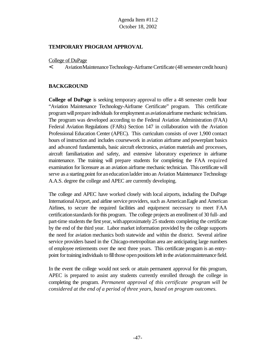### **TEMPORARY PROGRAM APPROVAL**

College of DuPage

< AviationMaintenanceTechnology-AirframeCertificate (48 semestercredit hours)

## **BACKGROUND**

**College of DuPage** is seeking temporary approval to offer a 48 semester credit hour "Aviation Maintenance Technology-Airframe Certificate" program. This certificate program will prepare individuals for employment as aviationairframe mechanic technicians. The program was developed according to the Federal Aviation Administration (FAA) Federal Aviation Regulations (FARs) Section 147 in collaboration with the Aviation Professional Education Center (APEC). This curriculum consists of over 1,900 contact hours of instruction and includes coursework in aviation airframe and powerplant basics and advanced fundamentals, basic aircraft electronics, aviation materials and processes, aircraft familiarization and safety, and extensive laboratory experience in airframe maintenance. The training will prepare students for completing the FAA required examination for licensure as an aviation airframe mechanic technician. This certificate will serve as a starting point for aneducationladder into an Aviation Maintenance Technology A.A.S. degree the college and APEC are currently developing.

The college and APEC have worked closely with local airports, including the DuPage International Airport, and airline service providers, such as American Eagle and American Airlines, to secure the required facilities and equipment necessary to meet FAA certification standards for this program. The college projects an enrollment of 30 full- and part-time students the first year, with approximately 25 students completing the certificate by the end of the third year. Labor market information provided by the college supports the need for aviation mechanics both statewide and within the district. Several airline service providers based in the Chicago-metropolitan area are anticipating large numbers of employee retirements over the next three years. This certificate program is an entrypoint for training individuals to fill those open positions left in the aviation maintenance field.

In the event the college would not seek or attain permanent approval for this program, APEC is prepared to assist any students currently enrolled through the college in completing the program. *Permanent approval of this certificate program will be considered at the end of a period of three years, based on program outcomes.*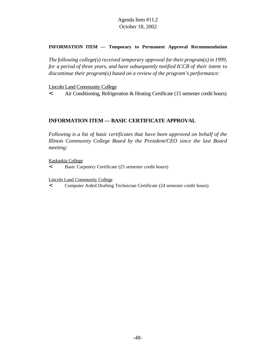#### **INFORMATION ITEM — Temporary to Permanent Approval Recommendation**

*The following college(s) received temporary approval fortheir program(s) in 1999, for a period of three years, and have subsequently notified ICCB of their intent to discontinue their program(s) based on a review of the program's performance:*

#### Lincoln Land Community College

< Air Conditioning, Refrigeration & Heating Certificate (15 semester credit hours)

### **INFORMATION ITEM — BASIC CERTIFICATE APPROVAL**

*Following is a list of basic certificates that have been approved on behalf of the Illinois Community College Board by the President/CEO since the last Board meeting:*

Kaskaskia College

< Basic Carpentry Certificate (25 semester credit hours)

Lincoln Land Community College

< Computer Aided Drafting Technician Certificate (24 semester credit hours)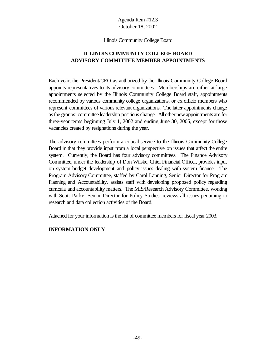#### Illinois Community College Board

# **ILLINOIS COMMUNITY COLLEGE BOARD ADVISORY COMMITTEE MEMBER APPOINTMENTS**

Each year, the President/CEO as authorized by the Illinois Community College Board appoints representatives to its advisory committees. Memberships are either at-large appointments selected by the Illinois Community College Board staff, appointments recommended by various community college organizations, or ex officio members who represent committees of various relevant organizations. The latter appointments change asthe groups' committee leadership positions change. Allother new appointments are for three-year terms beginning July 1, 2002 and ending June 30, 2005, except for those vacancies created by resignations during the year.

The advisory committees perform a critical service to the Illinois Community College Board in that they provide input from a local perspective on issues that affect the entire system. Currently, the Board has four advisory committees. The Finance Advisory Committee, under the leadership of Don Wilske, Chief Financial Officer, provides input on system budget development and policy issues dealing with system finance. The Program Advisory Committee, staffed by Carol Lanning, Senior Director for Program Planning and Accountability, assists staff with developing proposed policy regarding curricula and accountability matters. The MIS/Research Advisory Committee, working with Scott Parke, Senior Director for Policy Studies, reviews all issues pertaining to research and data collection activities of the Board.

Attached for your information is the list of committee members for fiscal year 2003.

## **INFORMATION ONLY**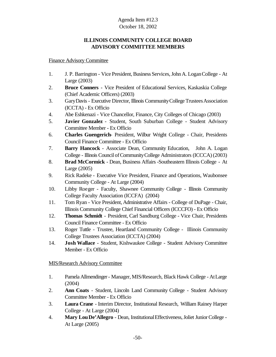# **ILLINOIS COMMUNITY COLLEGE BOARD ADVISORY COMMITTEE MEMBERS**

Finance Advisory Committee

- 1. J. P. Barrington Vice President, Business Services, John A. Logan College At Large (2003)
- 2. **Bruce Conners** Vice President of Educational Services, Kaskaskia College (Chief Academic Officers) (2003)
- 3. Gary Davis Executive Director, Illinois Community College Trustees Association (ICCTA) - Ex Officio
- 4. Abe Eshkenazi Vice Chancellor, Finance, City Colleges of Chicago (2003)
- 5. **Javier Gonzalez** Student, South Suburban College Student Advisory Committee Member - Ex Officio
- 6. **Charles Guengerich** President, Wilbur Wright College Chair, Presidents Council Finance Committee - Ex Officio
- 7. **Barry Hancock** Associate Dean, Community Education, John A. Logan College - Illinois Council of Community College Administrators (ICCCA)(2003)
- 8. **Brad McCormick** Dean, Business Affairs -Southeastern Illinois College At Large (2005)
- 9. Rick Radeke Executive Vice President, Finance and Operations, Waubonsee Community College - At Large (2004)
- 10. Libby Roeger Faculty, Shawnee Community College Illinois Community College Faculty Association (ICCFA) (2004)
- 11. Tom Ryan Vice President, Administrative Affairs College of DuPage Chair, Illinois Community College Chief Financial Officers (ICCCFO) - Ex Officio
- 12. **Thomas Schmidt** President, Carl Sandburg College Vice Chair, Presidents Council Finance Committee - Ex Officio
- 13. Roger Tuttle Trustee, Heartland Community College Illinois Community College Trustees Association (ICCTA) (2004)
- 14. **Josh Wallace** Student, Kishwaukee College Student Advisory Committee Member - Ex Officio

## MIS/Research Advisory Committee

- 1. Pamela Allmendinger- Manager, MIS/Research, Black Hawk College AtLarge (2004)
- 2. **Ann Coats** Student, Lincoln Land Community College Student Advisory Committee Member - Ex Officio
- 3. **Laura Crane** Interim Director, Institutional Research, William Rainey Harper College - At Large (2004)
- 4. **Mary LouDe'Allegro** Dean, InstitutionalEffectiveness,Joliet JuniorCollege At Large (2005)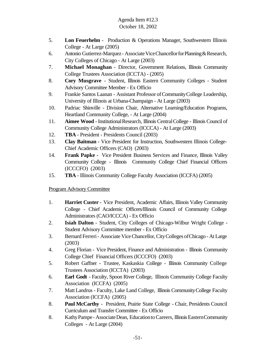- 5. **Lon Feuerhelm** Production & Operations Manager, Southwestern Illinois College - At Large (2005)
- 6. Antonio Gutierrez-Marquez Associate Vice Chancellor for Planning & Research, City Colleges of Chicago - At Large (2003)
- 7. **Michael Monaghan** Director, Government Relations, Illinois Community College Trustees Association (ICCTA) - (2005)
- 8. **Cory Musgrave** Student, Illinois Eastern Community Colleges Student Advisory Committee Member - Ex Officio
- 9. Frankie Santos Laanan Assistant Professor of Community College Leadership, University of Illinois at Urbana-Champaign - At Large (2003)
- 10. Padriac Shinville Division Chair, Alternative Learning/Education Programs, Heartland Community College, - At Large (2004)
- 11. **Aimee Wood -** InstitutionalResearch, Illinois CentralCollege Illinois Council of Community College Administrators (ICCCA) - At Large (2003)
- 12. **TBA** President Presidents Council (2003)
- 13. **Clay Baitman -** Vice President for Instruction, Southwestern Illinois College-Chief Academic Officers (CAO) (2003)
- 14. **Frank Papke** Vice President Business Services and Finance, Illinois Valley Community College - Illinois Community College Chief Financial Officers (ICCCFO) (2003)
- 15. **TBA** Illinois Community College Faculty Association (ICCFA) (2005)

# Program Advisory Committee

- 1. **Harriet Custer** Vice President, Academic Affairs, Illinois Valley Community College - Chief Academic Officers/Illinois Council of Community College Administrators (CAO/ICCCA) - Ex Officio
- 2. **Isiah Dalton** Student, City Colleges of Chicago-Wilbur Wright College Student Advisory Committee member - Ex Officio
- 3. Bernard Ferreri- Associate ViceChancellor,CityColleges ofChicago At Large (2003)
- 4. Greg Florian Vice President, Finance and Administration Illinois Community College Chief Financial Officers (ICCCFO) (2003)
- 5. Robert Gaffner Trustee, Kaskaskia College Illinois Community College Trustees Association (ICCTA) (2003)
- 6. **Earl Godt** Faculty, Spoon River College, Illinois Community College Faculty Association (ICCFA) (2005)
- 7. Matt Landrus Faculty, Lake Land College, Illinois CommunityCollege Faculty Association (ICCFA) (2005)
- 8. **Paul McCarthy** President, Prairie State College Chair, Presidents Council Curriculum and Transfer Committee - Ex Officio
- 8. Kathy Pampe Associate Dean, Education to Careers, Illinois Eastern Community Colleges - At Large (2004)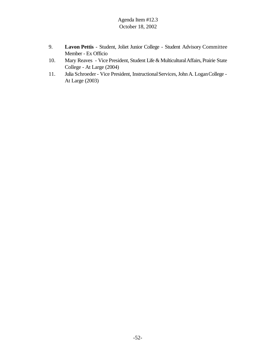- 9. **Lavon Pettis** Student, Joliet Junior College Student Advisory Committee Member - Ex Officio
- 10. Mary Reaves Vice President, Student Life & MulticulturalAffairs, Prairie State College - At Large (2004)
- 11. Julia Schroeder Vice President, Instructional Services, John A. Logan College -At Large (2003)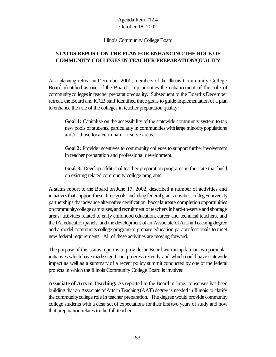Illinois Community College Board

# **STATUS REPORT ON THE PLAN FOR ENHANCING THE ROLE OF COMMUNITY COLLEGES IN TEACHER PREPARATION/QUALITY**

At a planning retreat in December 2000, members of the Illinois Community College Board identified as one of the Board's top priorities the enhancement of the role of community colleges in teacher preparation/quality. Subsequent to the Board's December retreat, the Board and ICCB staff identified three goals to guide implementation of a plan to enhance the role of the colleges in teacher preparation quality:

Goal 1: Capitalize on the accessibility of the statewide community system to tap new pools of students, particularly in communities withlarge minoritypopulations and/or those located in hard-to-serve areas.

**Goal 2:** Provide incentives to community colleges to support further involvement in teacher preparation and professional development.

**Goal 3:** Develop additional teacher preparation programs in the state that build on existing related community college programs.

A status report to the Board on June 17, 2002, described a number of activities and initiatives that support these three goals, including federal grant activities; college/university partnerships that advance alternative certification, baccalaureate completion opportunities on community college campuses, and recruitment of teachers in hard-to-serve and shortage areas; activities related to early childhood education, career and technical teachers, and the IAI education panels; and the development of an Associate of Arts in Teaching degree and a model communitycollege programto prepare education paraprofessionals to meet new federal requirements. All of these activities are moving forward.

The purpose of this status report is to provide the Board withanupdate ontwo particular initiatives which have made significant progress recently and which could have statewide impact as well as a summary of a recent policy summit conducted by one of the federal projects in which the Illinois Community College Board is involved.

**Associate of Arts in Teaching:** As reported to the Board in June, consensus has been building that an Associate of Arts in Teaching (AAT) degree is needed in Illinois to clarify the communitycollege role in teacher preparation. The degree would provide community college students with a clear set of expectations fortheir first two years of study and how that preparation relates to the full teacher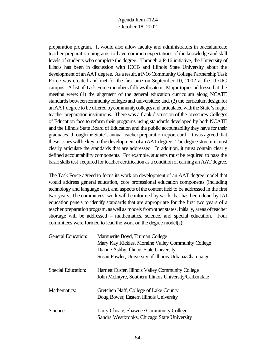preparation program. It would also allow faculty and administrators in baccalaureate teacher preparation programs to have common expectations of the knowledge and skill levels of students who complete the degree. Through a P-16 initiative, the University of Illinois has been in discussion with ICCB and Illinois State University about the development of an AAT degree. As a result, a P-16 Community College Partnership Task Force was created and met for the first time on September 10, 2002 at the UI/UC campus. A list of Task Force members followsthisitem. Major topics addressed at the meeting were: (1) the alignment of the general education curriculum along NCATE standards between community colleges and universities; and, (2) the curriculum design for anAATdegree to be offered bycommunitycolleges and articulated withthe State's major teacher preparation institutions. There was a frank discussion of the pressures Colleges of Education face to reform their programs using standards developed by both NCATE and the Illinois State Board of Education and the public accountabilitythey have for their graduates through the State's annualteacher preparationreport card. It was agreed that these issues will be key to the development of an AAT degree. The degree structure must clearly articulate the standards that are addressed. In addition, it must contain clearly defined accountability components. For example, students must be required to pass the basic skills test required for teacher certification as a condition of earning an AAT degree.

The Task Force agreed to focus its work on development of an AAT degree model that would address general education, core professional education components (including technology and language arts), and aspects ofthe content field to be addressed in the first two years. The committees' work will be informed by work that has been done by IAI education panels to identify standards that are appropriate for the first two years of a teacher preparation program, as well as models from other states. Initially, areas of teacher shortage will be addressed – mathematics, science, and special education. Four committees were formed to lead the work on the degree model(s):

| <b>General Education:</b> | Marguerite Boyd, Truman College                                                                              |
|---------------------------|--------------------------------------------------------------------------------------------------------------|
|                           | Mary Kay Kickles, Moraine Valley Community College                                                           |
|                           | Dianne Ashby, Illinois State University                                                                      |
|                           | Susan Fowler, University of Illinois-Urbana/Champaign                                                        |
| Special Education:        | Harriett Custer, Illinois Valley Community College<br>John McIntyre, Southern Illinois University/Carbondale |
| Mathematics:              | Gretchen Naff, College of Lake County                                                                        |
|                           | Doug Bower, Eastern Illinois University                                                                      |
| Science:                  | Larry Choate, Shawnee Community College                                                                      |
|                           | Sandra Westbrooks, Chicago State University                                                                  |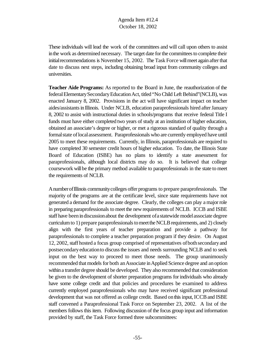These individuals will lead the work of the committees and will call upon others to assist in the work as determined necessary. The target date for the committees to complete their initial recommendations is November 15, 2002. The Task Force will meet again after that date to discuss next steps, including obtaining broad input from community colleges and universities.

**Teacher Aide Programs:** As reported to the Board in June, the reauthorization of the federal Elementary Secondary Education Act, titled "No Child Left Behind" (NCLB), was enacted January 8, 2002. Provisions in the act will have significant impact on teacher aides/assistants in Illinois. Under NCLB, education paraprofessionals hired after January 8, 2002 to assist with instructional duties in schools/programs that receive federal Title I funds must have either completed two years of study at an institution of higher education, obtained an associate's degree or higher, or met a rigorous standard of quality through a formal state of local assessment. Paraprofessionals who are currently employed have until 2005 to meet these requirements. Currently, in Illinois, paraprofessionals are required to have completed 30 semester credit hours of higher education. To date, the Illinois State Board of Education (ISBE) has no plans to identify a state assessment for paraprofessionals, although local districts may do so. It is believed that college coursework will be the primary method available to paraprofessionals in the state to meet the requirements of NCLB.

AnumberofIllinois communitycolleges offer programs to prepare paraprofessionals. The majority of the programs are at the certificate level, since state requirements have not generated a demand for the associate degree. Clearly, the colleges can play a majorrole in preparing paraprofessionals to meet the new requirements of NCLB. ICCB and ISBE staff have been in discussion about the development of a statewide model associate degree curriculum to 1) prepare paraprofessionals to meet the NCLB requirements, and 2) closely align with the first years of teacher preparation and provide a pathway for paraprofessionals to complete a teacher preparation program if they desire. On August 12, 2002, staff hosted a focus group comprised of representatives of both secondary and postsecondaryeducationto discussthe issues and needs surrounding NCLB and to seek input on the best way to proceed to meet those needs. The group unanimously recommended that models for both an Associate in Applied Science degree and an option within a transfer degree should be developed. They also recommended that consideration be given to the development of shorter preparation programs for individuals who already have some college credit and that policies and procedures be examined to address currently employed paraprofessionals who may have received significant professional development that was not offered as college credit. Based on this input, ICCB and ISBE staff convened a Paraprofessional Task Force on September 23, 2002. A list of the members follows this item. Following discussion of the focus group input and information provided by staff, the Task Force formed three subcommittees: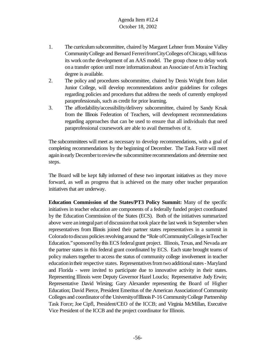- 1. The curriculum subcommittee, chaired by Margaret Lehner from Moraine Valley Community College and Bernard Ferrerifrom City Colleges of Chicago, will focus its work onthe development of an AAS model. The group chose to delay work on a transfer option until more information about an Associate of Arts in Teaching degree is available.
- 2. The policy and procedures subcommittee, chaired by Denis Wright from Joliet Junior College, will develop recommendations and/or guidelines for colleges regarding policies and procedures that address the needs of currently employed paraprofessionals, such as credit for prior learning.
- 3. The affordability/accessibility/delivery subcommittee, chaired by Sandy Krsak from the Illinois Federation of Teachers, will development recommendations regarding approaches that can be used to ensure that all individuals that need paraprofessional coursework are able to avail themselves of it.

The subcommittees will meet as necessary to develop recommendations, with a goal of completing recommendations by the beginning of December. The Task Force will meet again in early December to review the subcommittee recommendations and determine next steps.

The Board will be kept fully informed of these two important initiatives as they move forward, as well as progress that is achieved on the many other teacher preparation initiatives that are underway.

**Education Commission of the States/PT3 Policy Summit:** Many of the specific initiatives in teacher education are components of a federally funded project coordinated by the Education Commission of the States (ECS). Both of the initiatives summarized above were an integral part of discussion that took place the last week in September when representatives from Illinois joined their partner states representatives in a summit in Colorado to discuss policies revolving around the "Role of Community Colleges in Teacher Education."sponsored bythis ECS federalgrant project. Illinois, Texas, and Nevada are the partner states in this federal grant coordinated by ECS. Each state brought teams of policy makers together to access the status of community college involvement in teacher education in their respective states. Representatives from two additional states - Maryland and Florida - were invited to participate due to innovative activity in their states. Representing Illinois were Deputy Governor Hazel Loucks; Representative Judy Erwin; Representative David Wirsing; Gary Alexander representing the Board of Higher Education; David Pierce, President Emeritus of the American Associationof Community Colleges and coordinator of the University of Illinois P-16 Community College Partnership Task Force; Joe Cipfl, President/CEO of the ICCB; and Virginia McMillan, Executive Vice President of the ICCB and the project coordinator for Illinois.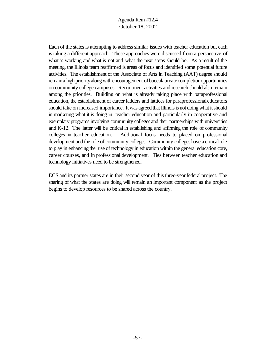Each of the states is attempting to address similar issues with teacher education but each is taking a different approach. These approaches were discussed from a perspective of what is working and what is not and what the next steps should be. As a result of the meeting, the Illinois team reaffirmed is areas of focus and identified some potential future activities. The establishment of the Associate of Arts in Teaching (AAT) degree should remain a high priority along with encouragement of baccalaureate completionopportunities on community college campuses. Recruitment activities and research should also remain among the priorities. Building on what is already taking place with paraprofessional education, the establishment of career ladders and lattices for paraprofessionaleducators should take on increased importance. It was agreed that Illinois is not doing what it should in marketing what it is doing in teacher education and particularly in cooperative and exemplary programs involving community colleges and their partnerships with universities and K-12. The latter will be critical in establishing and affirming the role of community colleges in teacher education. Additional focus needs to placed on professional development and the role of community colleges. Community colleges have a critical role to play in enhancing the use of technology in education within the general education core, career courses, and in professional development. Ties between teacher education and technology initiatives need to be strengthened.

ECS and its partner states are in their second year of this three-year federal project. The sharing of what the states are doing will remain an important component as the project begins to develop resources to be shared across the country.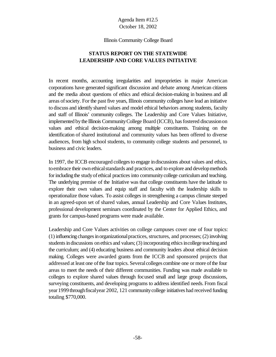#### Illinois Community College Board

# **STATUS REPORT ON THE STATEWIDE LEADERSHIP AND CORE VALUES INITIATIVE**

In recent months, accounting irregularities and improprieties in major American corporations have generated significant discussion and debate among American citizens and the media about questions of ethics and ethical decision-making in business and all areas ofsociety. For the past five years, Illinois community colleges have lead an initiative to discuss and identify shared values and model ethical behaviors among students, faculty and staff of Illinois' community colleges. The Leadership and Core Values Initiative, implemented by the Illinois Community College Board (ICCB), has fostered discussion on values and ethical decision-making among multiple constituents. Training on the identification of shared institutional and community values has been offered to diverse audiences, from high school students, to community college students and personnel, to business and civic leaders.

In 1997, the ICCB encouraged collegesto engage indiscussions about values and ethics, to embrace their own ethical standards and practices, and to explore and develop methods for including the study of ethical practices into community college curriculum and teaching. The underlying premise of the Initiative was that college constituents have the latitude to explore their own values and equip staff and faculty with the leadership skills to operationalize those values. To assist colleges in strengthening a campus climate steeped in an agreed-upon set of shared values, annual Leadership and Core Values Institutes, professional development seminars coordinated by the Center for Applied Ethics, and grants for campus-based programs were made available.

Leadership and Core Values activities on college campuses cover one of four topics:  $(1)$  influencing changes in organizational practices, structures, and processes;  $(2)$  involving students in discussions on ethics and values;  $(3)$  incorporating ethics incollege teaching and the curriculum; and (4) educating business and community leaders about ethical decision making. Colleges were awarded grants from the ICCB and sponsored projects that addressed at least one of the four topics. Several colleges combine one or more of the four areas to meet the needs of their different communities. Funding was made available to colleges to explore shared values through focused small and large group discussions, surveying constituents, and developing programs to address identified needs. From fiscal year 1999 through fiscal year 2002, 121 community college initiatives had received funding totaling \$770,000.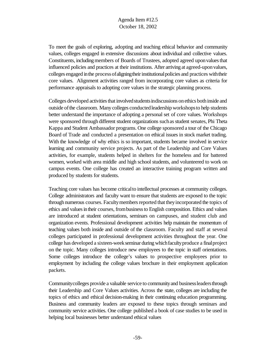To meet the goals of exploring, adopting and teaching ethical behavior and community values, colleges engaged in extensive discussions about individual and collective values. Constituents, including members of Boards of Trustees, adopted agreed upon values that influenced policies and practices at their institutions. After arriving at agreed-uponvalues, colleges engaged in the process of aligning their institutional policies and practices with their core values. Alignment activities ranged from incorporating core values as criteria for performance appraisals to adopting core values in the strategic planning process.

Colleges developed activities that involved students indiscussions on ethics both inside and outside ofthe classroom. Many colleges conductedleadership workshopsto help students better understand the importance of adopting a personal set of core values. Workshops were sponsored through different student organizations such as student senates, Phi Theta Kappa and Student Ambassador programs. One college sponsored a tour of the Chicago Board of Trade and conducted a presentation on ethical issues in stock market trading. With the knowledge of why ethics is so important, students became involved in service learning and community service projects. As part of the Leadership and Core Values activities, for example, students helped in shelters for the homeless and for battered women, worked with area middle and high school students, and volunteered to work on campus events. One college has created an interactive training program written and produced by students for students.

Teaching core values has become critical to intellectual processes at community colleges. College administrators and faculty want to ensure that students are exposed to the topic through numerous courses. Faculty members reported that they incorporated the topics of ethics and values in their courses, from business to English composition. Ethics and values are introduced at student orientations, seminars on campuses, and student club and organization events. Professional development activities help maintain the momentum of teaching values both inside and outside of the classroom. Faculty and staff at several colleges participated in professional development activities throughout the year. One college has developed a sixteen-week seminar during which faculty produce a final project on the topic. Many colleges introduce new employees to the topic in staff orientations. Some colleges introduce the college's values to prospective employees prior to employment by including the college values brochure in their employment application packets.

Communitycolleges provide a valuable service to communityand businessleadersthrough their Leadership and Core Values activities. Across the state, colleges are including the topics of ethics and ethical decision-making in their continuing education programming. Business and community leaders are exposed to these topics through seminars and community service activities. One college published a book of case studies to be used in helping local businesses better understand ethical values